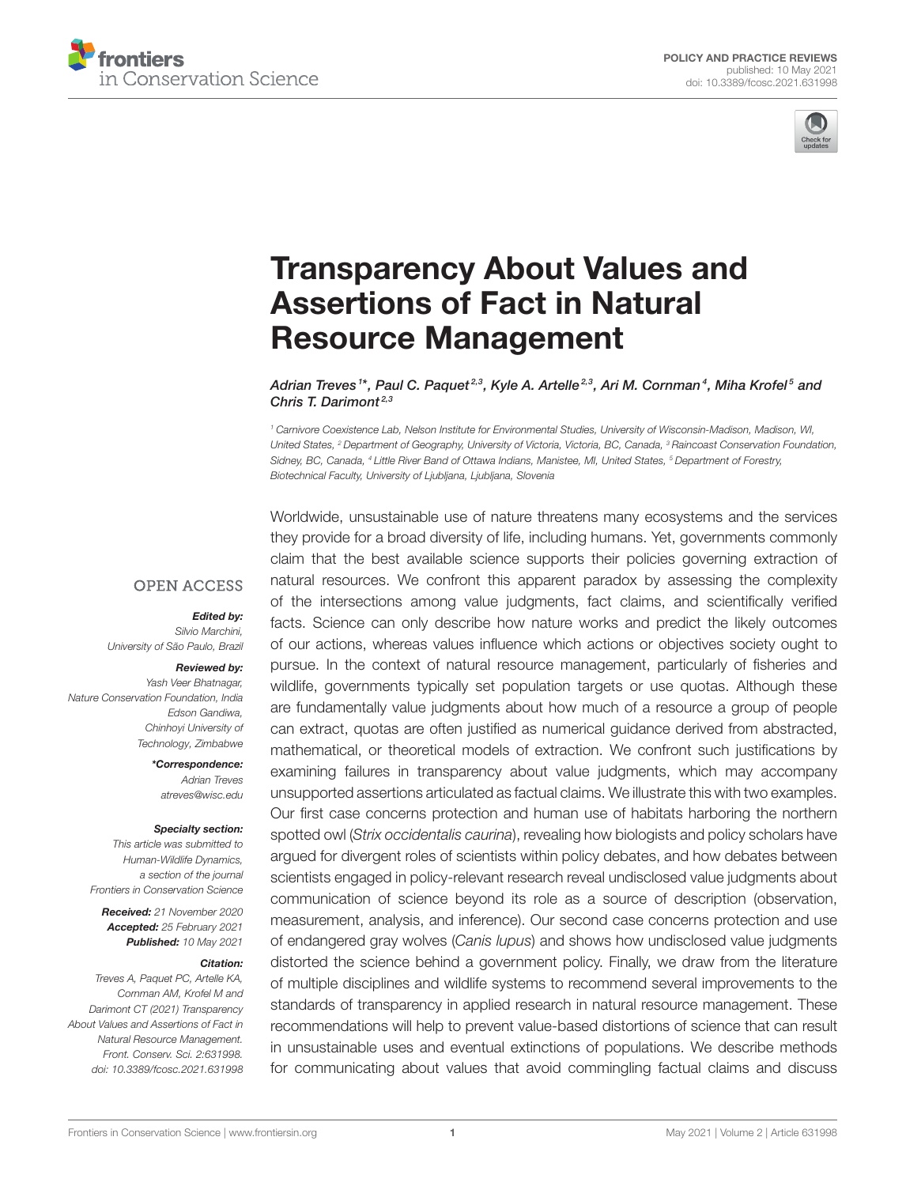



# [Transparency About Values and](https://www.frontiersin.org/articles/10.3389/fcosc.2021.631998/full) Assertions of Fact in Natural Resource Management

Adrian Treves <sup>1\*</sup>, Paul C. Paquet<sup>2,3</sup>, Kyle A. Artelle<sup>2,3</sup>, Ari M. Cornman<sup>4</sup>, Miha Krofel<sup>5</sup> and Chris T. Darimont<sup>2,3</sup>

<sup>1</sup> Carnivore Coexistence Lab, Nelson Institute for Environmental Studies, University of Wisconsin-Madison, Madison, WI, United States, <sup>2</sup> Department of Geography, University of Victoria, Victoria, BC, Canada, <sup>3</sup> Raincoast Conservation Foundation, Sidney, BC, Canada, <sup>4</sup> Little River Band of Ottawa Indians, Manistee, MI, United States, <sup>5</sup> Department of Forestry, Biotechnical Faculty, University of Ljubljana, Ljubljana, Slovenia

**OPEN ACCESS** 

Edited by:

Silvio Marchini, University of São Paulo, Brazil

#### Reviewed by:

Yash Veer Bhatnagar, Nature Conservation Foundation, India Edson Gandiwa, Chinhoyi University of Technology, Zimbabwe

> \*Correspondence: Adrian Treves [atreves@wisc.edu](mailto:atreves@wisc.edu)

#### Specialty section:

This article was submitted to Human-Wildlife Dynamics, a section of the journal Frontiers in Conservation Science

Received: 21 November 2020 Accepted: 25 February 2021 Published: 10 May 2021

#### Citation:

Treves A, Paquet PC, Artelle KA, Cornman AM, Krofel M and Darimont CT (2021) Transparency About Values and Assertions of Fact in Natural Resource Management. Front. Conserv. Sci. 2:631998. doi: [10.3389/fcosc.2021.631998](https://doi.org/10.3389/fcosc.2021.631998)

Worldwide, unsustainable use of nature threatens many ecosystems and the services they provide for a broad diversity of life, including humans. Yet, governments commonly claim that the best available science supports their policies governing extraction of natural resources. We confront this apparent paradox by assessing the complexity of the intersections among value judgments, fact claims, and scientifically verified facts. Science can only describe how nature works and predict the likely outcomes of our actions, whereas values influence which actions or objectives society ought to pursue. In the context of natural resource management, particularly of fisheries and wildlife, governments typically set population targets or use quotas. Although these are fundamentally value judgments about how much of a resource a group of people can extract, quotas are often justified as numerical guidance derived from abstracted, mathematical, or theoretical models of extraction. We confront such justifications by examining failures in transparency about value judgments, which may accompany unsupported assertions articulated as factual claims. We illustrate this with two examples. Our first case concerns protection and human use of habitats harboring the northern spotted owl (Strix occidentalis caurina), revealing how biologists and policy scholars have argued for divergent roles of scientists within policy debates, and how debates between scientists engaged in policy-relevant research reveal undisclosed value judgments about communication of science beyond its role as a source of description (observation, measurement, analysis, and inference). Our second case concerns protection and use of endangered gray wolves (Canis lupus) and shows how undisclosed value judgments distorted the science behind a government policy. Finally, we draw from the literature of multiple disciplines and wildlife systems to recommend several improvements to the standards of transparency in applied research in natural resource management. These recommendations will help to prevent value-based distortions of science that can result in unsustainable uses and eventual extinctions of populations. We describe methods for communicating about values that avoid commingling factual claims and discuss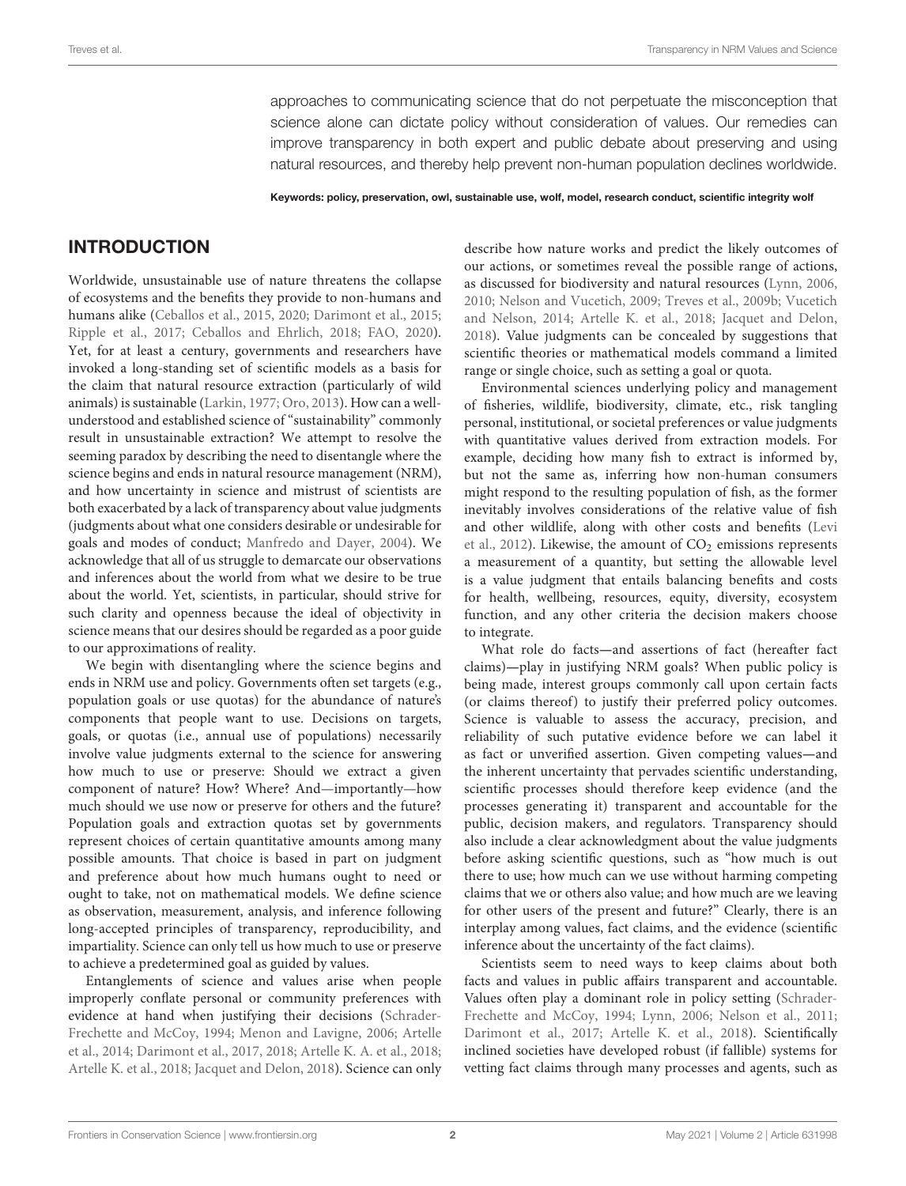approaches to communicating science that do not perpetuate the misconception that science alone can dictate policy without consideration of values. Our remedies can improve transparency in both expert and public debate about preserving and using natural resources, and thereby help prevent non-human population declines worldwide.

Keywords: policy, preservation, owl, sustainable use, wolf, model, research conduct, scientific integrity wolf

# INTRODUCTION

Worldwide, unsustainable use of nature threatens the collapse of ecosystems and the benefits they provide to non-humans and humans alike [\(Ceballos et al., 2015,](#page-10-0) [2020;](#page-10-1) [Darimont et al., 2015;](#page-10-2) [Ripple et al., 2017;](#page-11-0) [Ceballos and Ehrlich, 2018;](#page-10-3) [FAO, 2020\)](#page-10-4). Yet, for at least a century, governments and researchers have invoked a long-standing set of scientific models as a basis for the claim that natural resource extraction (particularly of wild animals) is sustainable [\(Larkin, 1977;](#page-10-5) [Oro, 2013\)](#page-11-1). How can a wellunderstood and established science of "sustainability" commonly result in unsustainable extraction? We attempt to resolve the seeming paradox by describing the need to disentangle where the science begins and ends in natural resource management (NRM), and how uncertainty in science and mistrust of scientists are both exacerbated by a lack of transparency about value judgments (judgments about what one considers desirable or undesirable for goals and modes of conduct; [Manfredo and Dayer, 2004\)](#page-11-2). We acknowledge that all of us struggle to demarcate our observations and inferences about the world from what we desire to be true about the world. Yet, scientists, in particular, should strive for such clarity and openness because the ideal of objectivity in science means that our desires should be regarded as a poor guide to our approximations of reality.

We begin with disentangling where the science begins and ends in NRM use and policy. Governments often set targets (e.g., population goals or use quotas) for the abundance of nature's components that people want to use. Decisions on targets, goals, or quotas (i.e., annual use of populations) necessarily involve value judgments external to the science for answering how much to use or preserve: Should we extract a given component of nature? How? Where? And—importantly—how much should we use now or preserve for others and the future? Population goals and extraction quotas set by governments represent choices of certain quantitative amounts among many possible amounts. That choice is based in part on judgment and preference about how much humans ought to need or ought to take, not on mathematical models. We define science as observation, measurement, analysis, and inference following long-accepted principles of transparency, reproducibility, and impartiality. Science can only tell us how much to use or preserve to achieve a predetermined goal as guided by values.

Entanglements of science and values arise when people improperly conflate personal or community preferences with evidence at hand when justifying their decisions (Schrader-Frechette and McCoy, [1994;](#page-11-3) [Menon and Lavigne, 2006;](#page-11-4) Artelle et al., [2014;](#page-10-6) [Darimont et al., 2017,](#page-10-7) [2018;](#page-10-8) [Artelle K. A. et al.,](#page-10-9) [2018;](#page-10-9) [Artelle K. et al., 2018;](#page-9-0) [Jacquet and Delon, 2018\)](#page-10-10). Science can only describe how nature works and predict the likely outcomes of our actions, or sometimes reveal the possible range of actions, as discussed for biodiversity and natural resources [\(Lynn, 2006,](#page-10-11) [2010;](#page-10-12) [Nelson and Vucetich, 2009;](#page-11-5) [Treves et al., 2009b;](#page-12-0) Vucetich and Nelson, [2014;](#page-12-1) [Artelle K. et al., 2018;](#page-9-0) [Jacquet and Delon,](#page-10-10) [2018\)](#page-10-10). Value judgments can be concealed by suggestions that scientific theories or mathematical models command a limited range or single choice, such as setting a goal or quota.

Environmental sciences underlying policy and management of fisheries, wildlife, biodiversity, climate, etc., risk tangling personal, institutional, or societal preferences or value judgments with quantitative values derived from extraction models. For example, deciding how many fish to extract is informed by, but not the same as, inferring how non-human consumers might respond to the resulting population of fish, as the former inevitably involves considerations of the relative value of fish and other wildlife, along with other costs and benefits (Levi et al., [2012\)](#page-10-13). Likewise, the amount of  $CO<sub>2</sub>$  emissions represents a measurement of a quantity, but setting the allowable level is a value judgment that entails balancing benefits and costs for health, wellbeing, resources, equity, diversity, ecosystem function, and any other criteria the decision makers choose to integrate.

What role do facts**—**and assertions of fact (hereafter fact claims)**—**play in justifying NRM goals? When public policy is being made, interest groups commonly call upon certain facts (or claims thereof) to justify their preferred policy outcomes. Science is valuable to assess the accuracy, precision, and reliability of such putative evidence before we can label it as fact or unverified assertion. Given competing values**—**and the inherent uncertainty that pervades scientific understanding, scientific processes should therefore keep evidence (and the processes generating it) transparent and accountable for the public, decision makers, and regulators. Transparency should also include a clear acknowledgment about the value judgments before asking scientific questions, such as "how much is out there to use; how much can we use without harming competing claims that we or others also value; and how much are we leaving for other users of the present and future?" Clearly, there is an interplay among values, fact claims, and the evidence (scientific inference about the uncertainty of the fact claims).

Scientists seem to need ways to keep claims about both facts and values in public affairs transparent and accountable. Values often play a dominant role in policy setting (Schrader-Frechette and McCoy, [1994;](#page-11-3) [Lynn, 2006;](#page-10-11) [Nelson et al., 2011;](#page-11-6) [Darimont et al., 2017;](#page-10-7) [Artelle K. et al., 2018\)](#page-9-0). Scientifically inclined societies have developed robust (if fallible) systems for vetting fact claims through many processes and agents, such as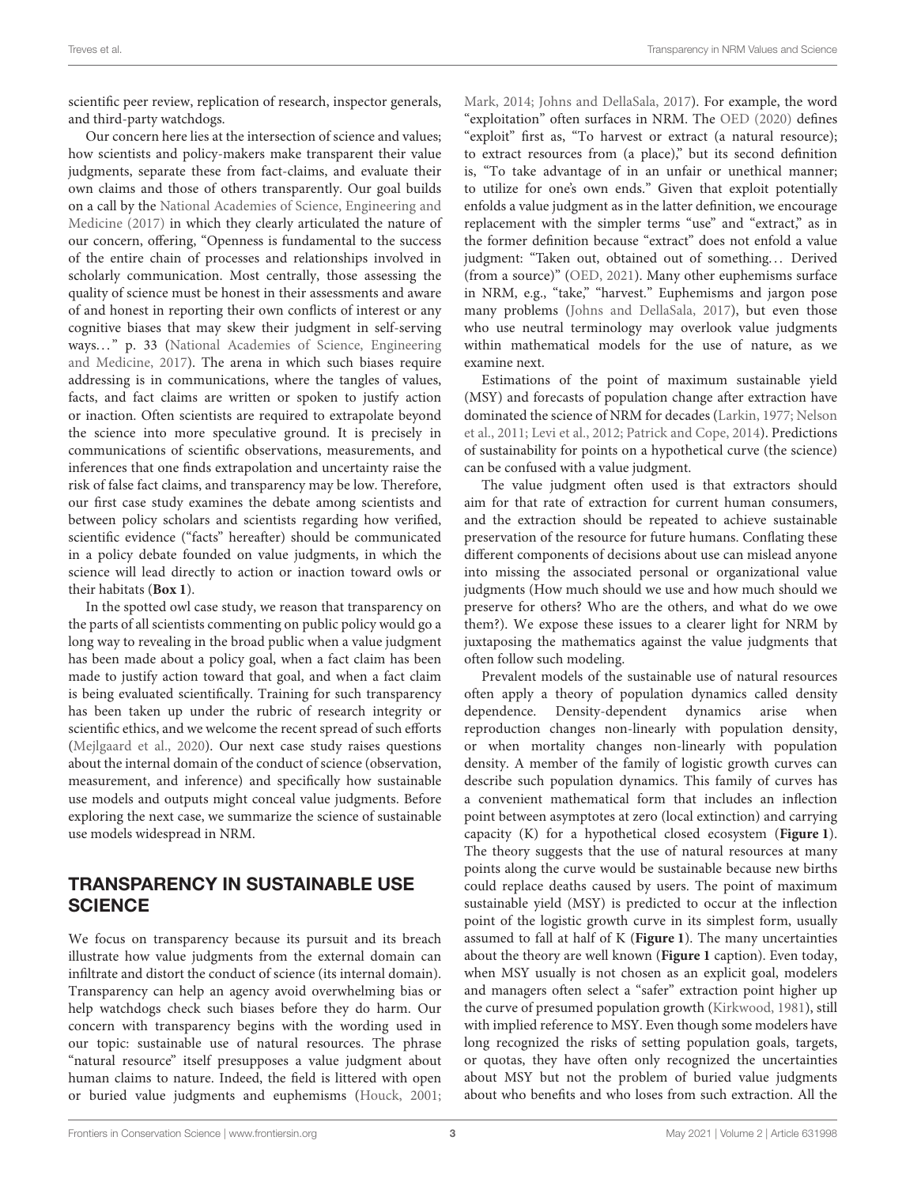scientific peer review, replication of research, inspector generals, and third-party watchdogs.

Our concern here lies at the intersection of science and values; how scientists and policy-makers make transparent their value judgments, separate these from fact-claims, and evaluate their own claims and those of others transparently. Our goal builds on a call by the National Academies of Science, Engineering and Medicine [\(2017\)](#page-11-7) in which they clearly articulated the nature of our concern, offering, "Openness is fundamental to the success of the entire chain of processes and relationships involved in scholarly communication. Most centrally, those assessing the quality of science must be honest in their assessments and aware of and honest in reporting their own conflicts of interest or any cognitive biases that may skew their judgment in self-serving ways..." p. 33 (National Academies of Science, Engineering and Medicine, [2017\)](#page-11-7). The arena in which such biases require addressing is in communications, where the tangles of values, facts, and fact claims are written or spoken to justify action or inaction. Often scientists are required to extrapolate beyond the science into more speculative ground. It is precisely in communications of scientific observations, measurements, and inferences that one finds extrapolation and uncertainty raise the risk of false fact claims, and transparency may be low. Therefore, our first case study examines the debate among scientists and between policy scholars and scientists regarding how verified, scientific evidence ("facts" hereafter) should be communicated in a policy debate founded on value judgments, in which the science will lead directly to action or inaction toward owls or their habitats (**[Box 1](#page-3-0)**).

In the spotted owl case study, we reason that transparency on the parts of all scientists commenting on public policy would go a long way to revealing in the broad public when a value judgment has been made about a policy goal, when a fact claim has been made to justify action toward that goal, and when a fact claim is being evaluated scientifically. Training for such transparency has been taken up under the rubric of research integrity or scientific ethics, and we welcome the recent spread of such efforts [\(Mejlgaard et al., 2020\)](#page-11-8). Our next case study raises questions about the internal domain of the conduct of science (observation, measurement, and inference) and specifically how sustainable use models and outputs might conceal value judgments. Before exploring the next case, we summarize the science of sustainable use models widespread in NRM.

# TRANSPARENCY IN SUSTAINABLE USE **SCIENCE**

We focus on transparency because its pursuit and its breach illustrate how value judgments from the external domain can infiltrate and distort the conduct of science (its internal domain). Transparency can help an agency avoid overwhelming bias or help watchdogs check such biases before they do harm. Our concern with transparency begins with the wording used in our topic: sustainable use of natural resources. The phrase "natural resource" itself presupposes a value judgment about human claims to nature. Indeed, the field is littered with open or buried value judgments and euphemisms [\(Houck, 2001;](#page-10-14) [Mark, 2014;](#page-11-9) [Johns and DellaSala, 2017\)](#page-10-15). For example, the word "exploitation" often surfaces in NRM. The [OED \(2020\)](#page-11-10) defines "exploit" first as, "To harvest or extract (a natural resource); to extract resources from (a place)," but its second definition is, "To take advantage of in an unfair or unethical manner; to utilize for one's own ends." Given that exploit potentially enfolds a value judgment as in the latter definition, we encourage replacement with the simpler terms "use" and "extract," as in the former definition because "extract" does not enfold a value judgment: "Taken out, obtained out of something... Derived (from a source)" [\(OED, 2021\)](#page-11-11). Many other euphemisms surface in NRM, e.g., "take," "harvest." Euphemisms and jargon pose many problems [\(Johns and DellaSala, 2017\)](#page-10-15), but even those who use neutral terminology may overlook value judgments within mathematical models for the use of nature, as we examine next.

Estimations of the point of maximum sustainable yield (MSY) and forecasts of population change after extraction have dominated the science of NRM for decades [\(Larkin, 1977;](#page-10-5) Nelson et al., [2011;](#page-11-6) [Levi et al., 2012;](#page-10-13) [Patrick and Cope, 2014\)](#page-11-12). Predictions of sustainability for points on a hypothetical curve (the science) can be confused with a value judgment.

The value judgment often used is that extractors should aim for that rate of extraction for current human consumers, and the extraction should be repeated to achieve sustainable preservation of the resource for future humans. Conflating these different components of decisions about use can mislead anyone into missing the associated personal or organizational value judgments (How much should we use and how much should we preserve for others? Who are the others, and what do we owe them?). We expose these issues to a clearer light for NRM by juxtaposing the mathematics against the value judgments that often follow such modeling.

Prevalent models of the sustainable use of natural resources often apply a theory of population dynamics called density dependence. Density-dependent dynamics arise when reproduction changes non-linearly with population density, or when mortality changes non-linearly with population density. A member of the family of logistic growth curves can describe such population dynamics. This family of curves has a convenient mathematical form that includes an inflection point between asymptotes at zero (local extinction) and carrying capacity (K) for a hypothetical closed ecosystem (**[Figure 1](#page-4-0)**). The theory suggests that the use of natural resources at many points along the curve would be sustainable because new births could replace deaths caused by users. The point of maximum sustainable yield (MSY) is predicted to occur at the inflection point of the logistic growth curve in its simplest form, usually assumed to fall at half of K (**[Figure 1](#page-4-0)**). The many uncertainties about the theory are well known (**[Figure 1](#page-4-0)** caption). Even today, when MSY usually is not chosen as an explicit goal, modelers and managers often select a "safer" extraction point higher up the curve of presumed population growth [\(Kirkwood, 1981\)](#page-10-16), still with implied reference to MSY. Even though some modelers have long recognized the risks of setting population goals, targets, or quotas, they have often only recognized the uncertainties about MSY but not the problem of buried value judgments about who benefits and who loses from such extraction. All the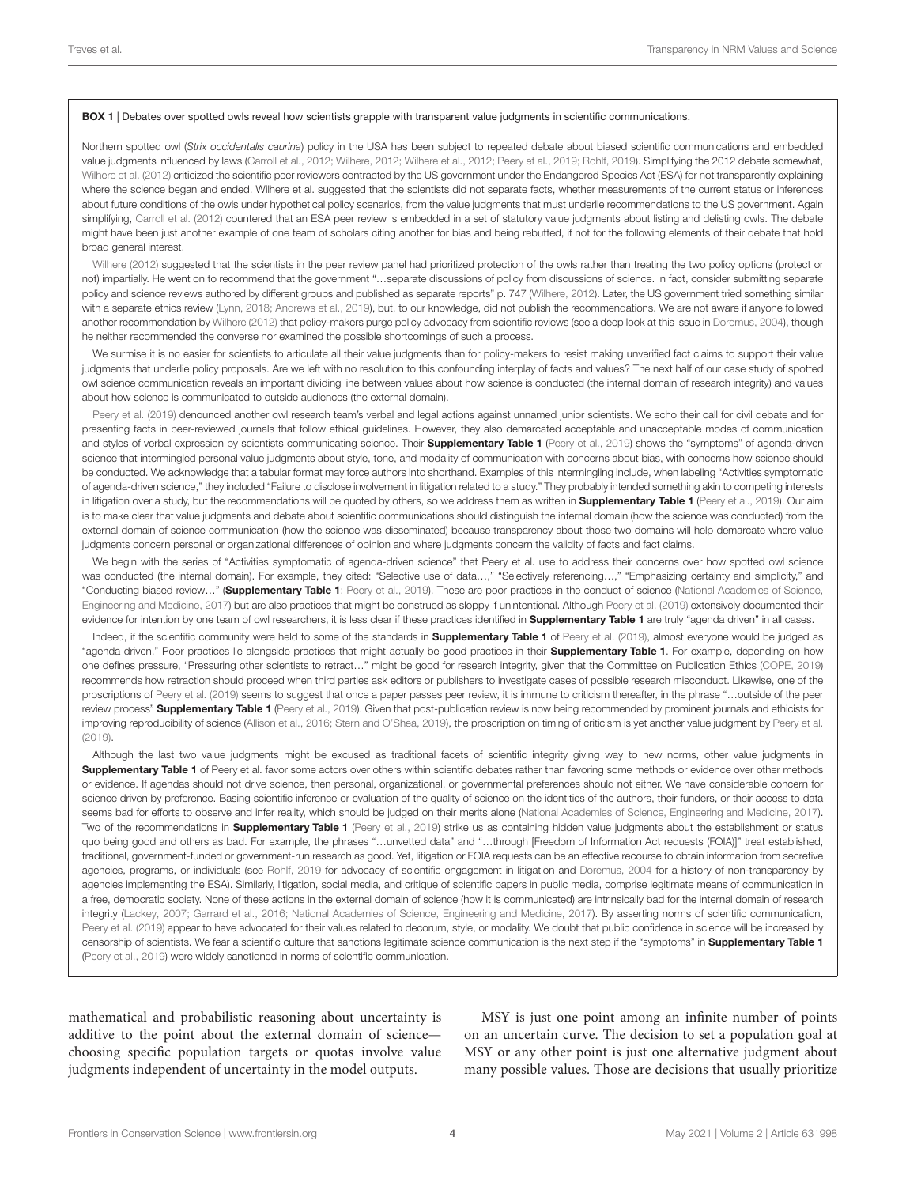#### <span id="page-3-0"></span>BOX 1 | Debates over spotted owls reveal how scientists grapple with transparent value judgments in scientific communications.

Northern spotted owl (Strix occidentalis caurina) policy in the USA has been subject to repeated debate about biased scientific communications and embedded value judgments influenced by laws [\(Carroll et al., 2012;](#page-10-17) [Wilhere, 2012;](#page-12-2) [Wilhere et al., 2012;](#page-12-3) [Peery et al., 2019;](#page-11-13) [Rohlf, 2019\)](#page-11-14). Simplifying the 2012 debate somewhat, [Wilhere et al. \(2012\)](#page-12-3) criticized the scientific peer reviewers contracted by the US government under the Endangered Species Act (ESA) for not transparently explaining where the science began and ended. Wilhere et al. suggested that the scientists did not separate facts, whether measurements of the current status or inferences about future conditions of the owls under hypothetical policy scenarios, from the value judgments that must underlie recommendations to the US government. Again simplifying, [Carroll et al. \(2012\)](#page-10-17) countered that an ESA peer review is embedded in a set of statutory value judgments about listing and delisting owls. The debate might have been just another example of one team of scholars citing another for bias and being rebutted, if not for the following elements of their debate that hold broad general interest.

[Wilhere \(2012\)](#page-12-2) suggested that the scientists in the peer review panel had prioritized protection of the owls rather than treating the two policy options (protect or not) impartially. He went on to recommend that the government "…separate discussions of policy from discussions of science. In fact, consider submitting separate policy and science reviews authored by different groups and published as separate reports" p. 747 [\(Wilhere, 2012\)](#page-12-2). Later, the US government tried something similar with a separate ethics review [\(Lynn, 2018;](#page-11-15) [Andrews et al., 2019\)](#page-9-1), but, to our knowledge, did not publish the recommendations. We are not aware if anyone followed another recommendation by [Wilhere \(2012\)](#page-12-2) that policy-makers purge policy advocacy from scientific reviews (see a deep look at this issue in [Doremus, 2004\)](#page-10-18), though he neither recommended the converse nor examined the possible shortcomings of such a process.

We surmise it is no easier for scientists to articulate all their value judgments than for policy-makers to resist making unverified fact claims to support their value judgments that underlie policy proposals. Are we left with no resolution to this confounding interplay of facts and values? The next half of our case study of spotted owl science communication reveals an important dividing line between values about how science is conducted (the internal domain of research integrity) and values about how science is communicated to outside audiences (the external domain).

[Peery et al. \(2019\)](#page-11-13) denounced another owl research team's verbal and legal actions against unnamed junior scientists. We echo their call for civil debate and for presenting facts in peer-reviewed journals that follow ethical guidelines. However, they also demarcated acceptable and unacceptable modes of communication and styles of verbal expression by scientists communicating science. Their [Supplementary Table 1](#page-9-2) [\(Peery et al., 2019\)](#page-11-13) shows the "symptoms" of agenda-driven science that intermingled personal value judgments about style, tone, and modality of communication with concerns about bias, with concerns how science should be conducted. We acknowledge that a tabular format may force authors into shorthand. Examples of this intermingling include, when labeling "Activities symptomatic of agenda-driven science," they included "Failure to disclose involvement in litigation related to a study." They probably intended something akin to competing interests in litigation over a study, but the recommendations will be quoted by others, so we address them as written in [Supplementary Table 1](#page-9-2) [\(Peery et al., 2019\)](#page-11-13). Our aim is to make clear that value judgments and debate about scientific communications should distinguish the internal domain (how the science was conducted) from the external domain of science communication (how the science was disseminated) because transparency about those two domains will help demarcate where value judgments concern personal or organizational differences of opinion and where judgments concern the validity of facts and fact claims.

We begin with the series of "Activities symptomatic of agenda-driven science" that Peery et al. use to address their concerns over how spotted owl science was conducted (the internal domain). For example, they cited: "Selective use of data...," "Selectively referencing...," "Emphasizing certainty and simplicity," and "Conducting biased review..." ([Supplementary Table 1](#page-9-2); [Peery et al., 2019\)](#page-11-13). These are poor practices in the conduct of science (National Academies of Science, Engineering and Medicine, [2017\)](#page-11-7) but are also practices that might be construed as sloppy if unintentional. Although [Peery et al. \(2019\)](#page-11-13) extensively documented their evidence for intention by one team of owl researchers, it is less clear if these practices identified in **[Supplementary Table 1](#page-9-2)** are truly "agenda driven" in all cases.

Indeed, if the scientific community were held to some of the standards in **[Supplementary Table 1](#page-9-2)** of [Peery et al. \(2019\)](#page-11-13), almost everyone would be judged as "agenda driven." Poor practices lie alongside practices that might actually be good practices in their [Supplementary Table 1](#page-9-2). For example, depending on how one defines pressure, "Pressuring other scientists to retract…" might be good for research integrity, given that the Committee on Publication Ethics [\(COPE, 2019\)](#page-10-19) recommends how retraction should proceed when third parties ask editors or publishers to investigate cases of possible research misconduct. Likewise, one of the proscriptions of [Peery et al. \(2019\)](#page-11-13) seems to suggest that once a paper passes peer review, it is immune to criticism thereafter, in the phrase "…outside of the peer review process" [Supplementary Table 1](#page-9-2) [\(Peery et al., 2019\)](#page-11-13). Given that post-publication review is now being recommended by prominent journals and ethicists for improving reproducibility of science [\(Allison et al., 2016;](#page-9-3) [Stern and O'Shea, 2019\)](#page-11-16), the proscription on timing of criticism is yet another value judgment by [Peery et al.](#page-11-13) [\(2019\)](#page-11-13).

Although the last two value judgments might be excused as traditional facets of scientific integrity giving way to new norms, other value judgments in [Supplementary Table 1](#page-9-2) of Peery et al. favor some actors over others within scientific debates rather than favoring some methods or evidence over other methods or evidence. If agendas should not drive science, then personal, organizational, or governmental preferences should not either. We have considerable concern for science driven by preference. Basing scientific inference or evaluation of the quality of science on the identities of the authors, their funders, or their access to data seems bad for efforts to observe and infer reality, which should be judged on their merits alone [\(National Academies of Science, Engineering and Medicine, 2017\)](#page-11-7). Two of the recommendations in **[Supplementary Table 1](#page-9-2)** [\(Peery et al., 2019\)](#page-11-13) strike us as containing hidden value judgments about the establishment or status quo being good and others as bad. For example, the phrases "...unvetted data" and "...through [Freedom of Information Act requests (FOIA)]" treat established, traditional, government-funded or government-run research as good. Yet, litigation or FOIA requests can be an effective recourse to obtain information from secretive agencies, programs, or individuals (see [Rohlf, 2019](#page-11-14) for advocacy of scientific engagement in litigation and [Doremus, 2004](#page-10-18) for a history of non-transparency by agencies implementing the ESA). Similarly, litigation, social media, and critique of scientific papers in public media, comprise legitimate means of communication in a free, democratic society. None of these actions in the external domain of science (how it is communicated) are intrinsically bad for the internal domain of research integrity [\(Lackey, 2007;](#page-10-20) [Garrard et al., 2016;](#page-10-21) [National Academies of Science, Engineering and Medicine, 2017\)](#page-11-7). By asserting norms of scientific communication, [Peery et al. \(2019\)](#page-11-13) appear to have advocated for their values related to decorum, style, or modality. We doubt that public confidence in science will be increased by censorship of scientists. We fear a scientific culture that sanctions legitimate science communication is the next step if the "symptoms" in [Supplementary Table 1](#page-9-2) [\(Peery et al., 2019\)](#page-11-13) were widely sanctioned in norms of scientific communication.

mathematical and probabilistic reasoning about uncertainty is additive to the point about the external domain of science choosing specific population targets or quotas involve value judgments independent of uncertainty in the model outputs.

MSY is just one point among an infinite number of points on an uncertain curve. The decision to set a population goal at MSY or any other point is just one alternative judgment about many possible values. Those are decisions that usually prioritize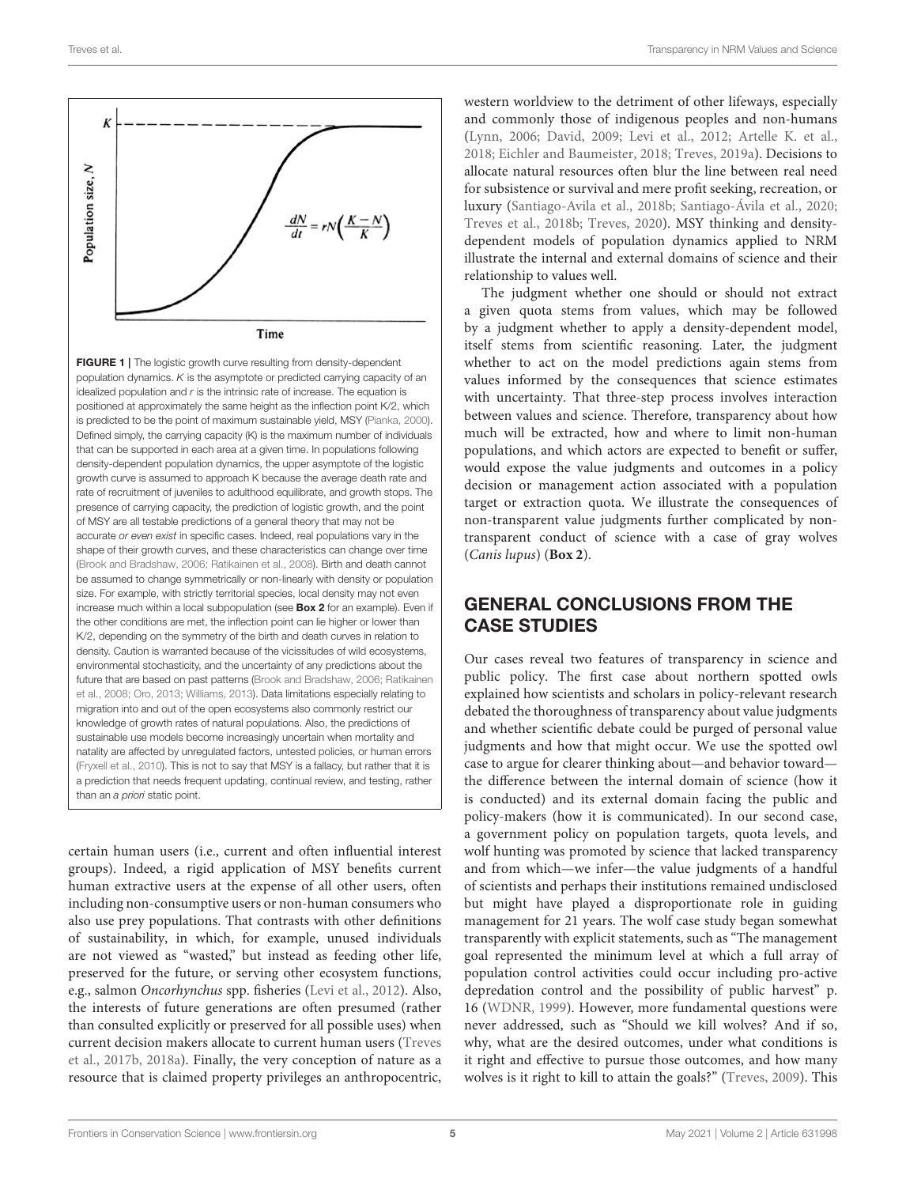

<span id="page-4-0"></span>FIGURE 1 | The logistic growth curve resulting from density-dependent population dynamics. K is the asymptote or predicted carrying capacity of an idealized population and  $r$  is the intrinsic rate of increase. The equation is positioned at approximately the same height as the inflection point K/2, which is predicted to be the point of maximum sustainable yield, MSY [\(Pianka, 2000\)](#page-11-17). Defined simply, the carrying capacity (K) is the maximum number of individuals that can be supported in each area at a given time. In populations following density-dependent population dynamics, the upper asymptote of the logistic growth curve is assumed to approach K because the average death rate and rate of recruitment of juveniles to adulthood equilibrate, and growth stops. The presence of carrying capacity, the prediction of logistic growth, and the point of MSY are all testable predictions of a general theory that may not be accurate or even exist in specific cases. Indeed, real populations vary in the shape of their growth curves, and these characteristics can change over time [\(Brook and Bradshaw, 2006;](#page-10-22) [Ratikainen et al., 2008\)](#page-11-18). Birth and death cannot be assumed to change symmetrically or non-linearly with density or population size. For example, with strictly territorial species, local density may not even increase much within a local subpopulation (see [Box 2](#page-5-0) for an example). Even if the other conditions are met, the inflection point can lie higher or lower than K/2, depending on the symmetry of the birth and death curves in relation to density. Caution is warranted because of the vicissitudes of wild ecosystems, environmental stochasticity, and the uncertainty of any predictions about the future that are based on past patterns [\(Brook and Bradshaw, 2006;](#page-10-22) Ratikainen et al., [2008;](#page-11-18) [Oro, 2013;](#page-11-1) [Williams, 2013\)](#page-12-4). Data limitations especially relating to migration into and out of the open ecosystems also commonly restrict our knowledge of growth rates of natural populations. Also, the predictions of sustainable use models become increasingly uncertain when mortality and natality are affected by unregulated factors, untested policies, or human errors [\(Fryxell et al., 2010\)](#page-10-23). This is not to say that MSY is a fallacy, but rather that it is a prediction that needs frequent updating, continual review, and testing, rather than an a priori static point.

certain human users (i.e., current and often influential interest groups). Indeed, a rigid application of MSY benefits current human extractive users at the expense of all other users, often including non-consumptive users or non-human consumers who also use prey populations. That contrasts with other definitions of sustainability, in which, for example, unused individuals are not viewed as "wasted," but instead as feeding other life, preserved for the future, or serving other ecosystem functions, e.g., salmon Oncorhynchus spp. fisheries [\(Levi et al., 2012\)](#page-10-13). Also, the interests of future generations are often presumed (rather than consulted explicitly or preserved for all possible uses) when current decision makers allocate to current human users (Treves et al., [2017b,](#page-12-5) [2018a\)](#page-11-19). Finally, the very conception of nature as a resource that is claimed property privileges an anthropocentric,

western worldview to the detriment of other lifeways, especially and commonly those of indigenous peoples and non-humans [\(Lynn, 2006;](#page-10-11) [David, 2009;](#page-10-24) [Levi et al., 2012;](#page-10-13) [Artelle K. et al.,](#page-9-0) [2018;](#page-9-0) [Eichler and Baumeister, 2018;](#page-10-25) [Treves, 2019a\)](#page-11-20). Decisions to allocate natural resources often blur the line between real need for subsistence or survival and mere profit seeking, recreation, or luxury [\(Santiago-Avila et al., 2018b;](#page-11-21) [Santiago-Ávila et al., 2020;](#page-11-22) [Treves et al., 2018b;](#page-12-6) [Treves, 2020\)](#page-11-23). MSY thinking and densitydependent models of population dynamics applied to NRM illustrate the internal and external domains of science and their relationship to values well.

The judgment whether one should or should not extract a given quota stems from values, which may be followed by a judgment whether to apply a density-dependent model, itself stems from scientific reasoning. Later, the judgment whether to act on the model predictions again stems from values informed by the consequences that science estimates with uncertainty. That three-step process involves interaction between values and science. Therefore, transparency about how much will be extracted, how and where to limit non-human populations, and which actors are expected to benefit or suffer, would expose the value judgments and outcomes in a policy decision or management action associated with a population target or extraction quota. We illustrate the consequences of non-transparent value judgments further complicated by nontransparent conduct of science with a case of gray wolves (Canis lupus) (**Box 2**).

# GENERAL CONCLUSIONS FROM THE CASE STUDIES

Our cases reveal two features of transparency in science and public policy. The first case about northern spotted owls explained how scientists and scholars in policy-relevant research debated the thoroughness of transparency about value judgments and whether scientific debate could be purged of personal value judgments and how that might occur. We use the spotted owl case to argue for clearer thinking about—and behavior toward the difference between the internal domain of science (how it is conducted) and its external domain facing the public and policy-makers (how it is communicated). In our second case, a government policy on population targets, quota levels, and wolf hunting was promoted by science that lacked transparency and from which—we infer—the value judgments of a handful of scientists and perhaps their institutions remained undisclosed but might have played a disproportionate role in guiding management for 21 years. The wolf case study began somewhat transparently with explicit statements, such as "The management goal represented the minimum level at which a full array of population control activities could occur including pro-active depredation control and the possibility of public harvest" p. 16 [\(WDNR, 1999\)](#page-12-7). However, more fundamental questions were never addressed, such as "Should we kill wolves? And if so, why, what are the desired outcomes, under what conditions is it right and effective to pursue those outcomes, and how many wolves is it right to kill to attain the goals?" [\(Treves, 2009\)](#page-11-24). This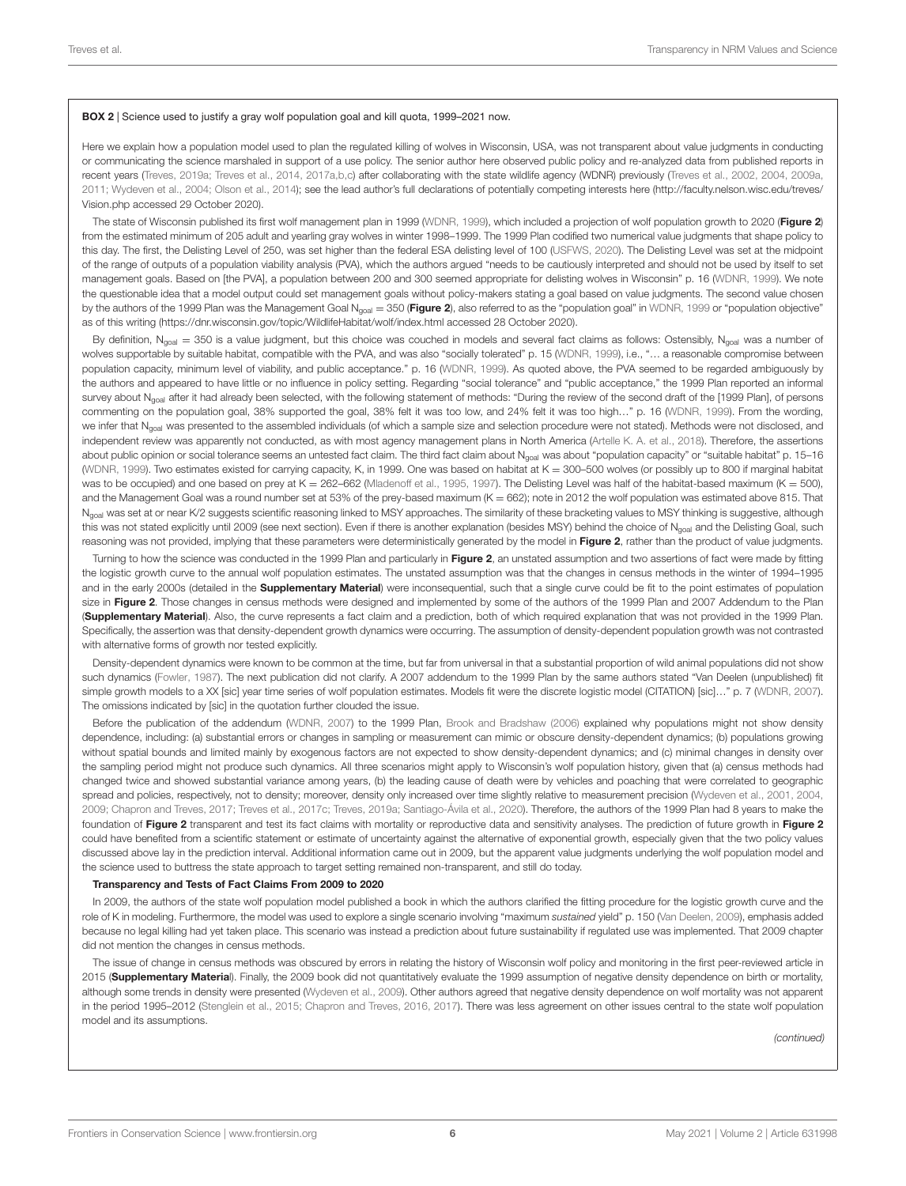#### <span id="page-5-0"></span>BOX 2 | Science used to justify a gray wolf population goal and kill quota, 1999–2021 now.

Here we explain how a population model used to plan the regulated killing of wolves in Wisconsin, USA, was not transparent about value judgments in conducting or communicating the science marshaled in support of a use policy. The senior author here observed public policy and re-analyzed data from published reports in recent years [\(Treves, 2019a;](#page-11-20) [Treves et al., 2014,](#page-12-8) [2017a](#page-12-9)[,b](#page-12-5)[,c\)](#page-12-10) after collaborating with the state wildlife agency (WDNR) previously [\(Treves et al., 2002,](#page-12-11) [2004,](#page-12-12) [2009a,](#page-12-13) [2011;](#page-12-14) [Wydeven et al., 2004;](#page-12-15) [Olson et al., 2014\)](#page-11-25); see the lead author's full declarations of potentially competing interests here [\(http://faculty.nelson.wisc.edu/treves/](http://faculty.nelson.wisc.edu/treves/Vision.php) Vision php accessed 29 October 2020).

The state of Wisconsin published its first wolf management plan in 1999 [\(WDNR, 1999\)](#page-12-7), which included a projection of wolf population growth to 2020 ([Figure 2](#page-6-0)) from the estimated minimum of 205 adult and yearling gray wolves in winter 1998–1999. The 1999 Plan codified two numerical value judgments that shape policy to this day. The first, the Delisting Level of 250, was set higher than the federal ESA delisting level of 100 [\(USFWS, 2020\)](#page-12-16). The Delisting Level was set at the midpoint of the range of outputs of a population viability analysis (PVA), which the authors argued "needs to be cautiously interpreted and should not be used by itself to set management goals. Based on [the PVA], a population between 200 and 300 seemed appropriate for delisting wolves in Wisconsin" p. 16 [\(WDNR, 1999\)](#page-12-7). We note the questionable idea that a model output could set management goals without policy-makers stating a goal based on value judgments. The second value chosen by the authors of the 1999 Plan was the Management Goal N<sub>goal</sub> = 350 ([Figure 2](#page-6-0)), also referred to as the "population goal" in [WDNR, 1999](#page-12-7) or "population objective" as of this writing [\(https://dnr.wisconsin.gov/topic/WildlifeHabitat/wolf/index.html](https://dnr.wisconsin.gov/topic/WildlifeHabitat/wolf/index.html) accessed 28 October 2020).

By definition, N<sub>goal</sub> = 350 is a value judgment, but this choice was couched in models and several fact claims as follows: Ostensibly, N<sub>goal</sub> was a number of wolves supportable by suitable habitat, compatible with the PVA, and was also "socially tolerated" p. 15 [\(WDNR, 1999\)](#page-12-7), i.e., "... a reasonable compromise between population capacity, minimum level of viability, and public acceptance." p. 16 [\(WDNR, 1999\)](#page-12-7). As quoted above, the PVA seemed to be regarded ambiguously by the authors and appeared to have little or no influence in policy setting. Regarding "social tolerance" and "public acceptance," the 1999 Plan reported an informal survey about N<sub>goal</sub> after it had already been selected, with the following statement of methods: "During the review of the second draft of the [1999 Plan], of persons commenting on the population goal, 38% supported the goal, 38% felt it was too low, and 24% felt it was too high..." p. 16 [\(WDNR, 1999\)](#page-12-7). From the wording, we infer that N<sub>goal</sub> was presented to the assembled individuals (of which a sample size and selection procedure were not stated). Methods were not disclosed, and independent review was apparently not conducted, as with most agency management plans in North America [\(Artelle K. A. et al., 2018\)](#page-10-9). Therefore, the assertions about public opinion or social tolerance seems an untested fact claim. The third fact claim about N<sub>goal</sub> was about "population capacity" or "suitable habitat" p. 15-16 [\(WDNR, 1999\)](#page-12-7). Two estimates existed for carrying capacity, K, in 1999. One was based on habitat at K = 300-500 wolves (or possibly up to 800 if marginal habitat was to be occupied) and one based on prey at K = 262-662 [\(Mladenoff et al., 1995,](#page-11-26) [1997\)](#page-11-27). The Delisting Level was half of the habitat-based maximum (K = 500), and the Management Goal was a round number set at 53% of the prey-based maximum (K = 662); note in 2012 the wolf population was estimated above 815. That N<sub>goal</sub> was set at or near K/2 suggests scientific reasoning linked to MSY approaches. The similarity of these bracketing values to MSY thinking is suggestive, although this was not stated explicitly until 2009 (see next section). Even if there is another explanation (besides MSY) behind the choice of N<sub>goal</sub> and the Delisting Goal, such reasoning was not provided, implying that these parameters were deterministically generated by the model in [Figure 2](#page-6-0), rather than the product of value judgments.

Turning to how the science was conducted in the 1999 Plan and particularly in [Figure 2](#page-6-0), an unstated assumption and two assertions of fact were made by fitting the logistic growth curve to the annual wolf population estimates. The unstated assumption was that the changes in census methods in the winter of 1994–1995 and in the early 2000s (detailed in the [Supplementary Material](#page-9-2)) were inconsequential, such that a single curve could be fit to the point estimates of population size in [Figure 2](#page-6-0). Those changes in census methods were designed and implemented by some of the authors of the 1999 Plan and 2007 Addendum to the Plan ([Supplementary Material](#page-9-2)). Also, the curve represents a fact claim and a prediction, both of which required explanation that was not provided in the 1999 Plan. Specifically, the assertion was that density-dependent growth dynamics were occurring. The assumption of density-dependent population growth was not contrasted with alternative forms of growth nor tested explicitly.

Density-dependent dynamics were known to be common at the time, but far from universal in that a substantial proportion of wild animal populations did not show such dynamics [\(Fowler, 1987\)](#page-10-26). The next publication did not clarify. A 2007 addendum to the 1999 Plan by the same authors stated "Van Deelen (unpublished) fit simple growth models to a XX [sic] year time series of wolf population estimates. Models fit were the discrete logistic model (CITATION) [sic]…" p. 7 [\(WDNR, 2007\)](#page-12-17). The omissions indicated by [sic] in the quotation further clouded the issue.

Before the publication of the addendum [\(WDNR, 2007\)](#page-12-17) to the 1999 Plan, [Brook and Bradshaw \(2006\)](#page-10-22) explained why populations might not show density dependence, including: (a) substantial errors or changes in sampling or measurement can mimic or obscure density-dependent dynamics; (b) populations growing without spatial bounds and limited mainly by exogenous factors are not expected to show density-dependent dynamics; and (c) minimal changes in density over the sampling period might not produce such dynamics. All three scenarios might apply to Wisconsin's wolf population history, given that (a) census methods had changed twice and showed substantial variance among years, (b) the leading cause of death were by vehicles and poaching that were correlated to geographic spread and policies, respectively, not to density; moreover, density only increased over time slightly relative to measurement precision [\(Wydeven et al., 2001,](#page-12-18) [2004,](#page-12-15) [2009;](#page-12-19) [Chapron and Treves, 2017;](#page-10-27) [Treves et al., 2017c;](#page-12-10) [Treves, 2019a;](#page-11-20) [Santiago-Ávila et al., 2020\)](#page-11-22). Therefore, the authors of the 1999 Plan had 8 years to make the foundation of [Figure 2](#page-6-0) transparent and test its fact claims with mortality or reproductive data and sensitivity analyses. The prediction of future growth in Figure 2 could have benefited from a scientific statement or estimate of uncertainty against the alternative of exponential growth, especially given that the two policy values discussed above lay in the prediction interval. Additional information came out in 2009, but the apparent value judgments underlying the wolf population model and the science used to buttress the state approach to target setting remained non-transparent, and still do today.

#### Transparency and Tests of Fact Claims From 2009 to 2020

In 2009, the authors of the state wolf population model published a book in which the authors clarified the fitting procedure for the logistic growth curve and the role of K in modeling. Furthermore, the model was used to explore a single scenario involving "maximum sustained yield" p. 150 [\(Van Deelen, 2009\)](#page-12-20), emphasis added because no legal killing had yet taken place. This scenario was instead a prediction about future sustainability if regulated use was implemented. That 2009 chapter did not mention the changes in census methods.

The issue of change in census methods was obscured by errors in relating the history of Wisconsin wolf policy and monitoring in the first peer-reviewed article in 2015 ([Supplementary Materia](#page-9-2)l). Finally, the 2009 book did not quantitatively evaluate the 1999 assumption of negative density dependence on birth or mortality, although some trends in density were presented [\(Wydeven et al., 2009\)](#page-12-19). Other authors agreed that negative density dependence on wolf mortality was not apparent in the period 1995–2012 [\(Stenglein et al., 2015;](#page-11-28) [Chapron and Treves, 2016,](#page-10-28) [2017\)](#page-10-27). There was less agreement on other issues central to the state wolf population model and its assumptions.

(continued)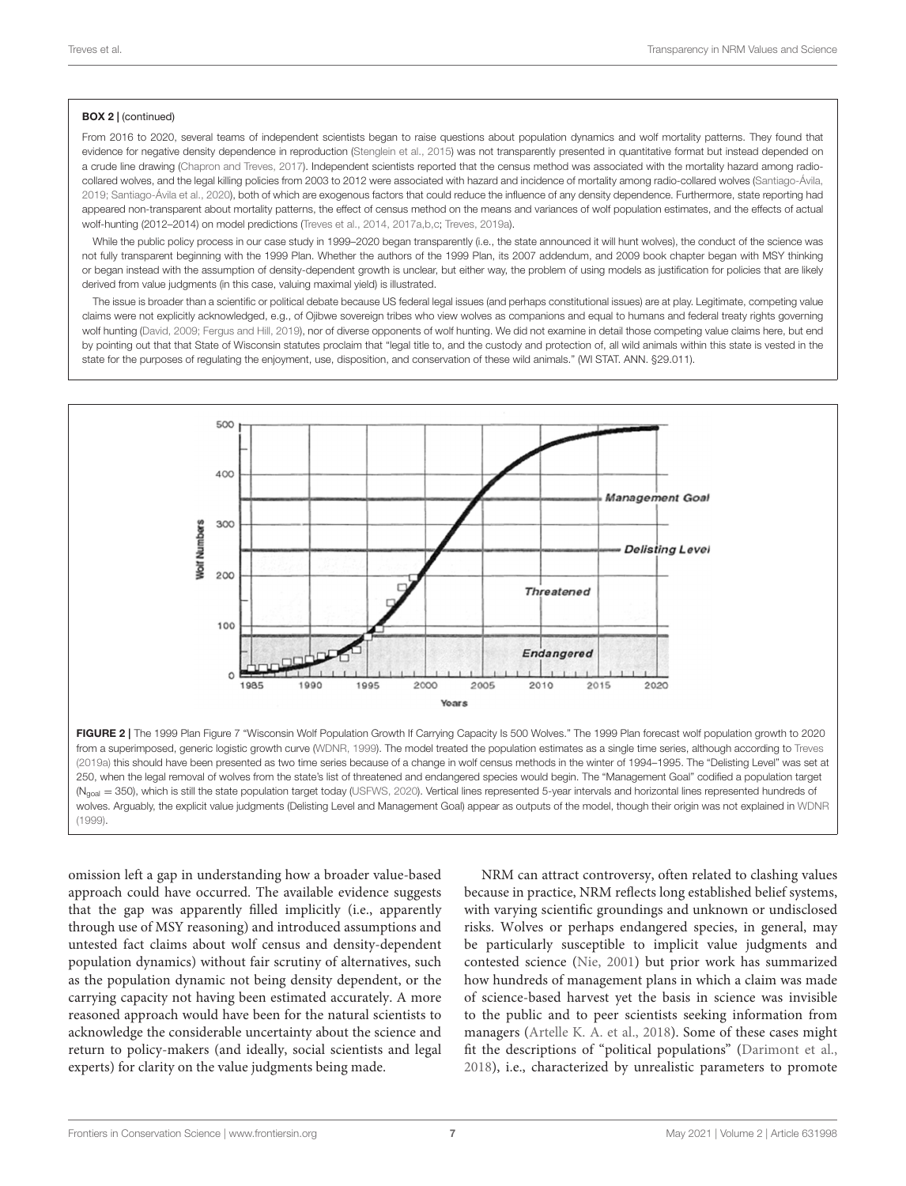#### BOX 2 | (continued)

From 2016 to 2020, several teams of independent scientists began to raise questions about population dynamics and wolf mortality patterns. They found that evidence for negative density dependence in reproduction [\(Stenglein et al., 2015\)](#page-11-28) was not transparently presented in quantitative format but instead depended on a crude line drawing [\(Chapron and Treves, 2017\)](#page-10-27). Independent scientists reported that the census method was associated with the mortality hazard among radiocollared wolves, and the legal killing policies from 2003 to 2012 were associated with hazard and incidence of mortality among radio-collared wolves [\(Santiago-Ávila,](#page-11-29) [2019;](#page-11-29) [Santiago-Ávila et al., 2020\)](#page-11-22), both of which are exogenous factors that could reduce the influence of any density dependence. Furthermore, state reporting had appeared non-transparent about mortality patterns, the effect of census method on the means and variances of wolf population estimates, and the effects of actual wolf-hunting (2012–2014) on model predictions [\(Treves et al., 2014,](#page-12-8) [2017a](#page-12-9)[,b](#page-12-5)[,c;](#page-12-10) [Treves, 2019a\)](#page-11-20).

While the public policy process in our case study in 1999–2020 began transparently (i.e., the state announced it will hunt wolves), the conduct of the science was not fully transparent beginning with the 1999 Plan. Whether the authors of the 1999 Plan, its 2007 addendum, and 2009 book chapter began with MSY thinking or began instead with the assumption of density-dependent growth is unclear, but either way, the problem of using models as justification for policies that are likely derived from value judgments (in this case, valuing maximal yield) is illustrated.

The issue is broader than a scientific or political debate because US federal legal issues (and perhaps constitutional issues) are at play. Legitimate, competing value claims were not explicitly acknowledged, e.g., of Ojibwe sovereign tribes who view wolves as companions and equal to humans and federal treaty rights governing wolf hunting [\(David, 2009;](#page-10-24) [Fergus and Hill, 2019\)](#page-10-29), nor of diverse opponents of wolf hunting. We did not examine in detail those competing value claims here, but end by pointing out that that State of Wisconsin statutes proclaim that "legal title to, and the custody and protection of, all wild animals within this state is vested in the state for the purposes of regulating the enjoyment, use, disposition, and conservation of these wild animals." (WI STAT. ANN. §29.011).



<span id="page-6-0"></span>omission left a gap in understanding how a broader value-based approach could have occurred. The available evidence suggests that the gap was apparently filled implicitly (i.e., apparently through use of MSY reasoning) and introduced assumptions and untested fact claims about wolf census and density-dependent population dynamics) without fair scrutiny of alternatives, such as the population dynamic not being density dependent, or the carrying capacity not having been estimated accurately. A more reasoned approach would have been for the natural scientists to acknowledge the considerable uncertainty about the science and return to policy-makers (and ideally, social scientists and legal experts) for clarity on the value judgments being made.

NRM can attract controversy, often related to clashing values because in practice, NRM reflects long established belief systems, with varying scientific groundings and unknown or undisclosed risks. Wolves or perhaps endangered species, in general, may be particularly susceptible to implicit value judgments and contested science [\(Nie, 2001\)](#page-11-30) but prior work has summarized how hundreds of management plans in which a claim was made of science-based harvest yet the basis in science was invisible to the public and to peer scientists seeking information from managers [\(Artelle K. A. et al., 2018\)](#page-10-9). Some of these cases might fit the descriptions of "political populations" [\(Darimont et al.,](#page-10-8) [2018\)](#page-10-8), i.e., characterized by unrealistic parameters to promote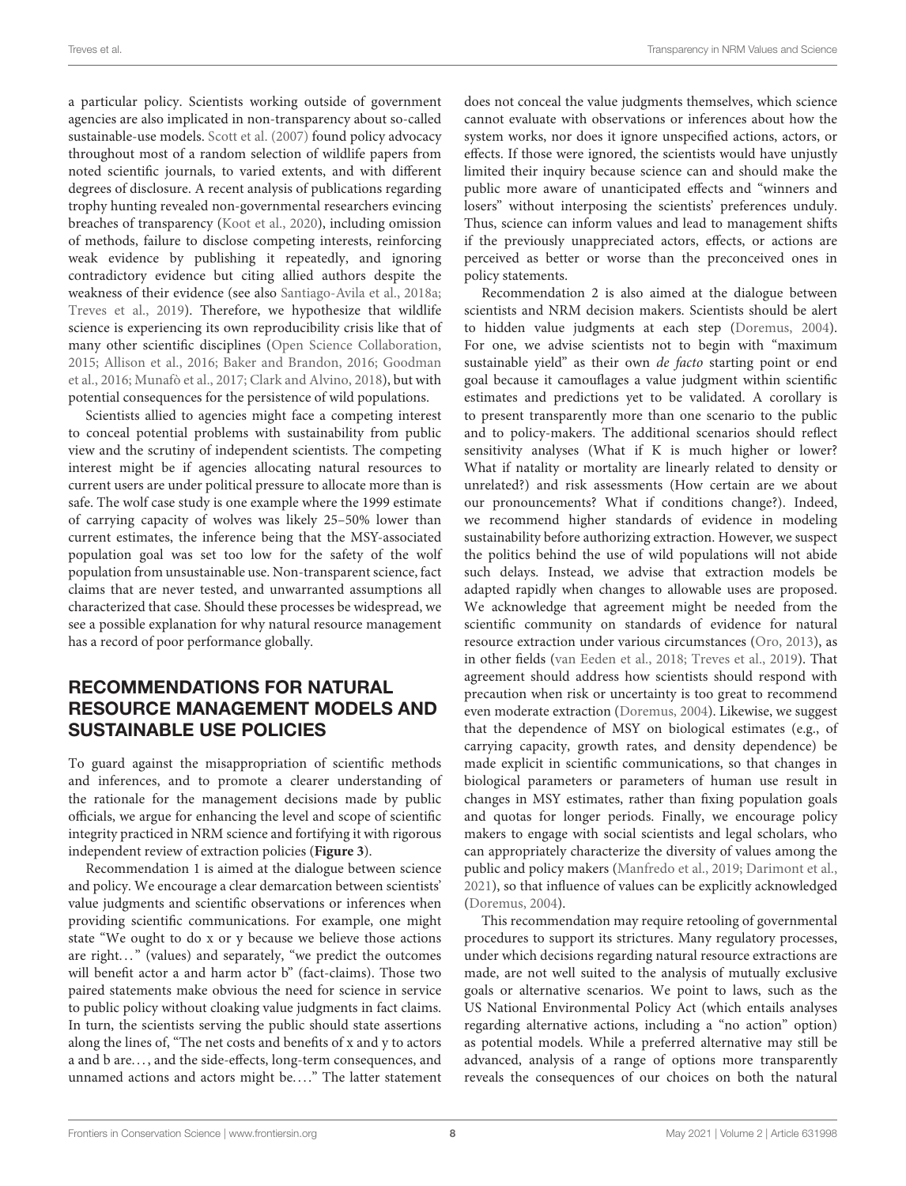a particular policy. Scientists working outside of government agencies are also implicated in non-transparency about so-called sustainable-use models. [Scott et al. \(2007\)](#page-11-31) found policy advocacy throughout most of a random selection of wildlife papers from noted scientific journals, to varied extents, and with different degrees of disclosure. A recent analysis of publications regarding trophy hunting revealed non-governmental researchers evincing breaches of transparency [\(Koot et al., 2020\)](#page-10-30), including omission of methods, failure to disclose competing interests, reinforcing weak evidence by publishing it repeatedly, and ignoring contradictory evidence but citing allied authors despite the weakness of their evidence (see also [Santiago-Avila et al., 2018a;](#page-11-32) [Treves et al., 2019\)](#page-12-21). Therefore, we hypothesize that wildlife science is experiencing its own reproducibility crisis like that of many other scientific disciplines [\(Open Science Collaboration,](#page-11-33) [2015;](#page-11-33) [Allison et al., 2016;](#page-9-3) [Baker and Brandon, 2016;](#page-10-31) Goodman et al., [2016;](#page-10-32) [Munafò et al., 2017;](#page-11-34) [Clark and Alvino, 2018\)](#page-10-33), but with potential consequences for the persistence of wild populations.

Scientists allied to agencies might face a competing interest to conceal potential problems with sustainability from public view and the scrutiny of independent scientists. The competing interest might be if agencies allocating natural resources to current users are under political pressure to allocate more than is safe. The wolf case study is one example where the 1999 estimate of carrying capacity of wolves was likely 25–50% lower than current estimates, the inference being that the MSY-associated population goal was set too low for the safety of the wolf population from unsustainable use. Non-transparent science, fact claims that are never tested, and unwarranted assumptions all characterized that case. Should these processes be widespread, we see a possible explanation for why natural resource management has a record of poor performance globally.

# RECOMMENDATIONS FOR NATURAL RESOURCE MANAGEMENT MODELS AND SUSTAINABLE USE POLICIES

To guard against the misappropriation of scientific methods and inferences, and to promote a clearer understanding of the rationale for the management decisions made by public officials, we argue for enhancing the level and scope of scientific integrity practiced in NRM science and fortifying it with rigorous independent review of extraction policies (**[Figure 3](#page-8-0)**).

Recommendation 1 is aimed at the dialogue between science and policy. We encourage a clear demarcation between scientists' value judgments and scientific observations or inferences when providing scientific communications. For example, one might state "We ought to do x or y because we believe those actions are right..." (values) and separately, "we predict the outcomes will benefit actor a and harm actor b" (fact-claims). Those two paired statements make obvious the need for science in service to public policy without cloaking value judgments in fact claims. In turn, the scientists serving the public should state assertions along the lines of, "The net costs and benefits of x and y to actors a and b are. . . , and the side-effects, long-term consequences, and unnamed actions and actors might be...." The latter statement

does not conceal the value judgments themselves, which science cannot evaluate with observations or inferences about how the system works, nor does it ignore unspecified actions, actors, or effects. If those were ignored, the scientists would have unjustly limited their inquiry because science can and should make the public more aware of unanticipated effects and "winners and losers" without interposing the scientists' preferences unduly. Thus, science can inform values and lead to management shifts if the previously unappreciated actors, effects, or actions are perceived as better or worse than the preconceived ones in policy statements.

Recommendation 2 is also aimed at the dialogue between scientists and NRM decision makers. Scientists should be alert to hidden value judgments at each step [\(Doremus, 2004\)](#page-10-18). For one, we advise scientists not to begin with "maximum sustainable yield" as their own de facto starting point or end goal because it camouflages a value judgment within scientific estimates and predictions yet to be validated. A corollary is to present transparently more than one scenario to the public and to policy-makers. The additional scenarios should reflect sensitivity analyses (What if K is much higher or lower? What if natality or mortality are linearly related to density or unrelated?) and risk assessments (How certain are we about our pronouncements? What if conditions change?). Indeed, we recommend higher standards of evidence in modeling sustainability before authorizing extraction. However, we suspect the politics behind the use of wild populations will not abide such delays. Instead, we advise that extraction models be adapted rapidly when changes to allowable uses are proposed. We acknowledge that agreement might be needed from the scientific community on standards of evidence for natural resource extraction under various circumstances [\(Oro, 2013\)](#page-11-1), as in other fields [\(van Eeden et al., 2018;](#page-12-22) [Treves et al., 2019\)](#page-12-21). That agreement should address how scientists should respond with precaution when risk or uncertainty is too great to recommend even moderate extraction [\(Doremus, 2004\)](#page-10-18). Likewise, we suggest that the dependence of MSY on biological estimates (e.g., of carrying capacity, growth rates, and density dependence) be made explicit in scientific communications, so that changes in biological parameters or parameters of human use result in changes in MSY estimates, rather than fixing population goals and quotas for longer periods. Finally, we encourage policy makers to engage with social scientists and legal scholars, who can appropriately characterize the diversity of values among the public and policy makers [\(Manfredo et al., 2019;](#page-11-35) [Darimont et al.,](#page-10-34) [2021\)](#page-10-34), so that influence of values can be explicitly acknowledged [\(Doremus, 2004\)](#page-10-18).

This recommendation may require retooling of governmental procedures to support its strictures. Many regulatory processes, under which decisions regarding natural resource extractions are made, are not well suited to the analysis of mutually exclusive goals or alternative scenarios. We point to laws, such as the US National Environmental Policy Act (which entails analyses regarding alternative actions, including a "no action" option) as potential models. While a preferred alternative may still be advanced, analysis of a range of options more transparently reveals the consequences of our choices on both the natural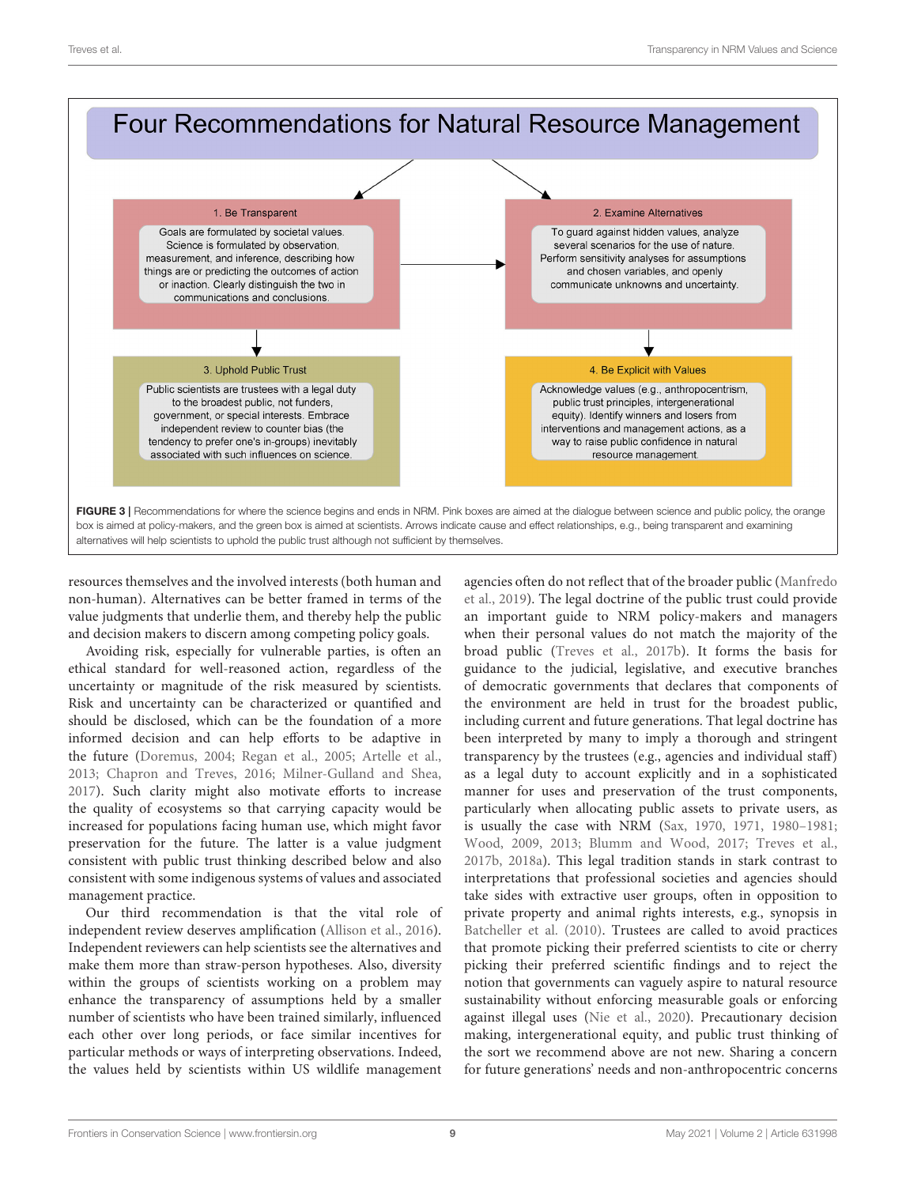

<span id="page-8-0"></span>resources themselves and the involved interests (both human and non-human). Alternatives can be better framed in terms of the value judgments that underlie them, and thereby help the public and decision makers to discern among competing policy goals.

Avoiding risk, especially for vulnerable parties, is often an ethical standard for well-reasoned action, regardless of the uncertainty or magnitude of the risk measured by scientists. Risk and uncertainty can be characterized or quantified and should be disclosed, which can be the foundation of a more informed decision and can help efforts to be adaptive in the future [\(Doremus, 2004;](#page-10-18) [Regan et al., 2005;](#page-11-36) [Artelle et al.,](#page-9-4) [2013;](#page-9-4) [Chapron and Treves, 2016;](#page-10-28) [Milner-Gulland and Shea,](#page-11-37) [2017\)](#page-11-37). Such clarity might also motivate efforts to increase the quality of ecosystems so that carrying capacity would be increased for populations facing human use, which might favor preservation for the future. The latter is a value judgment consistent with public trust thinking described below and also consistent with some indigenous systems of values and associated management practice.

Our third recommendation is that the vital role of independent review deserves amplification [\(Allison et al., 2016\)](#page-9-3). Independent reviewers can help scientists see the alternatives and make them more than straw-person hypotheses. Also, diversity within the groups of scientists working on a problem may enhance the transparency of assumptions held by a smaller number of scientists who have been trained similarly, influenced each other over long periods, or face similar incentives for particular methods or ways of interpreting observations. Indeed, the values held by scientists within US wildlife management agencies often do not reflect that of the broader public (Manfredo et al., [2019\)](#page-11-35). The legal doctrine of the public trust could provide an important guide to NRM policy-makers and managers when their personal values do not match the majority of the broad public [\(Treves et al., 2017b\)](#page-12-5). It forms the basis for guidance to the judicial, legislative, and executive branches of democratic governments that declares that components of the environment are held in trust for the broadest public, including current and future generations. That legal doctrine has been interpreted by many to imply a thorough and stringent transparency by the trustees (e.g., agencies and individual staff) as a legal duty to account explicitly and in a sophisticated manner for uses and preservation of the trust components, particularly when allocating public assets to private users, as is usually the case with NRM [\(Sax, 1970,](#page-11-38) [1971,](#page-11-39) [1980–1981;](#page-11-40) [Wood, 2009,](#page-12-23) [2013;](#page-12-24) [Blumm and Wood, 2017;](#page-10-35) [Treves et al.,](#page-12-5) [2017b,](#page-12-5) [2018a\)](#page-11-19). This legal tradition stands in stark contrast to interpretations that professional societies and agencies should take sides with extractive user groups, often in opposition to private property and animal rights interests, e.g., synopsis in [Batcheller et al. \(2010\)](#page-10-36). Trustees are called to avoid practices that promote picking their preferred scientists to cite or cherry picking their preferred scientific findings and to reject the notion that governments can vaguely aspire to natural resource sustainability without enforcing measurable goals or enforcing against illegal uses [\(Nie et al., 2020\)](#page-11-41). Precautionary decision making, intergenerational equity, and public trust thinking of the sort we recommend above are not new. Sharing a concern for future generations' needs and non-anthropocentric concerns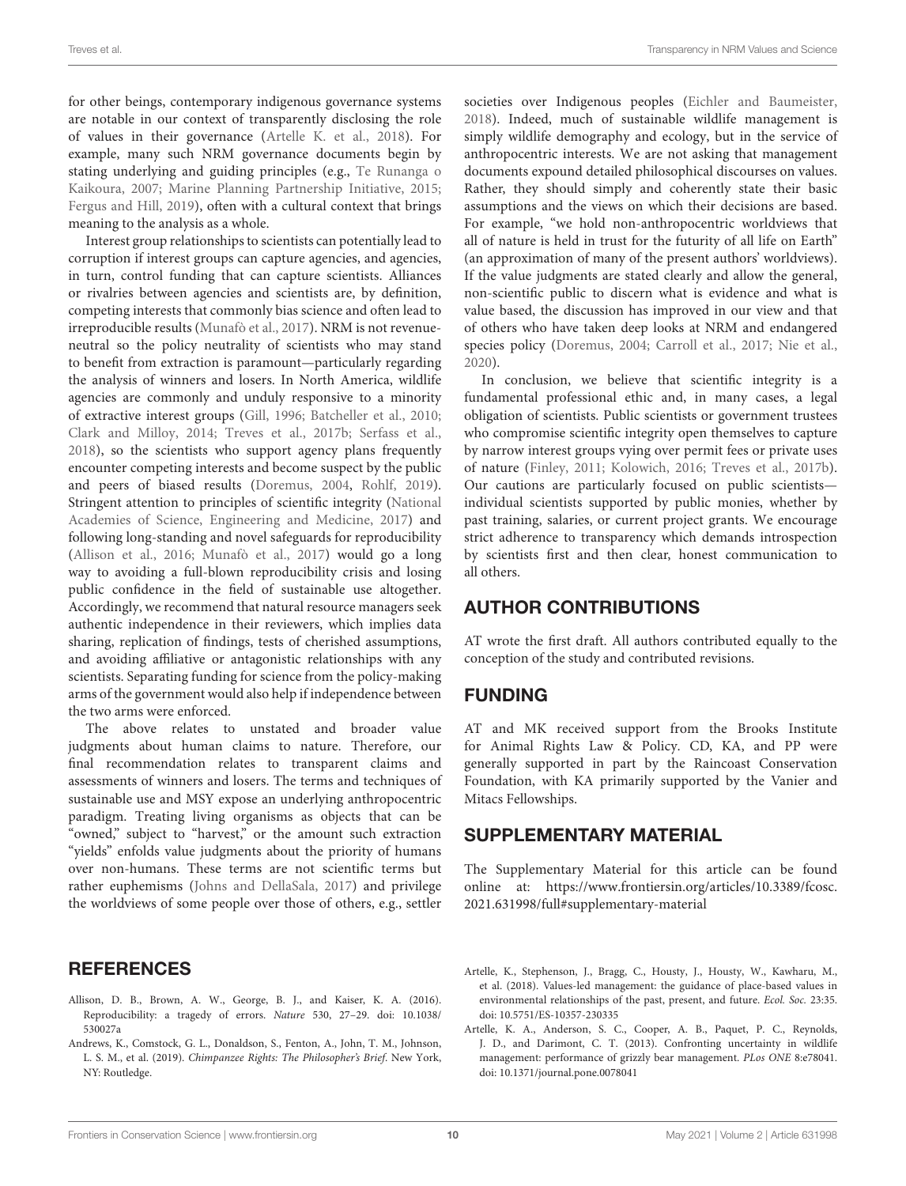for other beings, contemporary indigenous governance systems are notable in our context of transparently disclosing the role of values in their governance [\(Artelle K. et al., 2018\)](#page-9-0). For example, many such NRM governance documents begin by stating underlying and guiding principles (e.g., Te Runanga o Kaikoura, [2007;](#page-11-42) [Marine Planning Partnership Initiative, 2015;](#page-11-43) [Fergus and Hill, 2019\)](#page-10-29), often with a cultural context that brings meaning to the analysis as a whole.

Interest group relationships to scientists can potentially lead to corruption if interest groups can capture agencies, and agencies, in turn, control funding that can capture scientists. Alliances or rivalries between agencies and scientists are, by definition, competing interests that commonly bias science and often lead to irreproducible results [\(Munafò et al., 2017\)](#page-11-34). NRM is not revenueneutral so the policy neutrality of scientists who may stand to benefit from extraction is paramount—particularly regarding the analysis of winners and losers. In North America, wildlife agencies are commonly and unduly responsive to a minority of extractive interest groups [\(Gill, 1996;](#page-10-37) [Batcheller et al., 2010;](#page-10-36) [Clark and Milloy, 2014;](#page-10-38) [Treves et al., 2017b;](#page-12-5) [Serfass et al.,](#page-11-44) [2018\)](#page-11-44), so the scientists who support agency plans frequently encounter competing interests and become suspect by the public and peers of biased results [\(Doremus, 2004,](#page-10-18) [Rohlf, 2019\)](#page-11-14). Stringent attention to principles of scientific integrity (National Academies of Science, Engineering and Medicine, [2017\)](#page-11-7) and following long-standing and novel safeguards for reproducibility [\(Allison et al., 2016;](#page-9-3) [Munafò et al., 2017\)](#page-11-34) would go a long way to avoiding a full-blown reproducibility crisis and losing public confidence in the field of sustainable use altogether. Accordingly, we recommend that natural resource managers seek authentic independence in their reviewers, which implies data sharing, replication of findings, tests of cherished assumptions, and avoiding affiliative or antagonistic relationships with any scientists. Separating funding for science from the policy-making arms of the government would also help if independence between the two arms were enforced.

The above relates to unstated and broader value judgments about human claims to nature. Therefore, our final recommendation relates to transparent claims and assessments of winners and losers. The terms and techniques of sustainable use and MSY expose an underlying anthropocentric paradigm. Treating living organisms as objects that can be "owned," subject to "harvest," or the amount such extraction "yields" enfolds value judgments about the priority of humans over non-humans. These terms are not scientific terms but rather euphemisms [\(Johns and DellaSala, 2017\)](#page-10-15) and privilege the worldviews of some people over those of others, e.g., settler

### **REFERENCES**

- <span id="page-9-3"></span>Allison, D. B., Brown, A. W., George, B. J., and Kaiser, K. A. (2016). [Reproducibility: a tragedy of errors.](https://doi.org/10.1038/530027a) Nature 530, 27–29. doi: 10.1038/ 530027a
- <span id="page-9-1"></span>Andrews, K., Comstock, G. L., Donaldson, S., Fenton, A., John, T. M., Johnson, L. S. M., et al. (2019). Chimpanzee Rights: The Philosopher's Brief. New York, NY: Routledge.

societies over Indigenous peoples [\(Eichler and Baumeister,](#page-10-25) [2018\)](#page-10-25). Indeed, much of sustainable wildlife management is simply wildlife demography and ecology, but in the service of anthropocentric interests. We are not asking that management documents expound detailed philosophical discourses on values. Rather, they should simply and coherently state their basic assumptions and the views on which their decisions are based. For example, "we hold non-anthropocentric worldviews that all of nature is held in trust for the futurity of all life on Earth" (an approximation of many of the present authors' worldviews). If the value judgments are stated clearly and allow the general, non-scientific public to discern what is evidence and what is value based, the discussion has improved in our view and that of others who have taken deep looks at NRM and endangered species policy [\(Doremus, 2004;](#page-10-18) [Carroll et al., 2017;](#page-10-39) [Nie et al.,](#page-11-41) [2020\)](#page-11-41).

In conclusion, we believe that scientific integrity is a fundamental professional ethic and, in many cases, a legal obligation of scientists. Public scientists or government trustees who compromise scientific integrity open themselves to capture by narrow interest groups vying over permit fees or private uses of nature [\(Finley, 2011;](#page-10-40) [Kolowich, 2016;](#page-10-41) [Treves et al., 2017b\)](#page-12-5). Our cautions are particularly focused on public scientists individual scientists supported by public monies, whether by past training, salaries, or current project grants. We encourage strict adherence to transparency which demands introspection by scientists first and then clear, honest communication to all others.

### AUTHOR CONTRIBUTIONS

AT wrote the first draft. All authors contributed equally to the conception of the study and contributed revisions.

### FUNDING

AT and MK received support from the Brooks Institute for Animal Rights Law & Policy. CD, KA, and PP were generally supported in part by the Raincoast Conservation Foundation, with KA primarily supported by the Vanier and Mitacs Fellowships.

### SUPPLEMENTARY MATERIAL

<span id="page-9-2"></span>The Supplementary Material for this article can be found [online at: https://www.frontiersin.org/articles/10.3389/fcosc.](https://www.frontiersin.org/articles/10.3389/fcosc.2021.631998/full#supplementary-material) 2021.631998/full#supplementary-material

- <span id="page-9-0"></span>Artelle, K., Stephenson, J., Bragg, C., Housty, J., Housty, W., Kawharu, M., et al. (2018). Values-led management: the guidance of place-based values in environmental relationships of the past, present, and future. Ecol. Soc. 23:35. doi: [10.5751/ES-10357-230335](https://doi.org/10.5751/ES-10357-230335)
- <span id="page-9-4"></span>Artelle, K. A., Anderson, S. C., Cooper, A. B., Paquet, P. C., Reynolds, J. D., and Darimont, C. T. (2013). Confronting uncertainty in wildlife management: performance of grizzly bear management. PLos ONE 8:e78041. doi: [10.1371/journal.pone.0078041](https://doi.org/10.1371/journal.pone.0078041)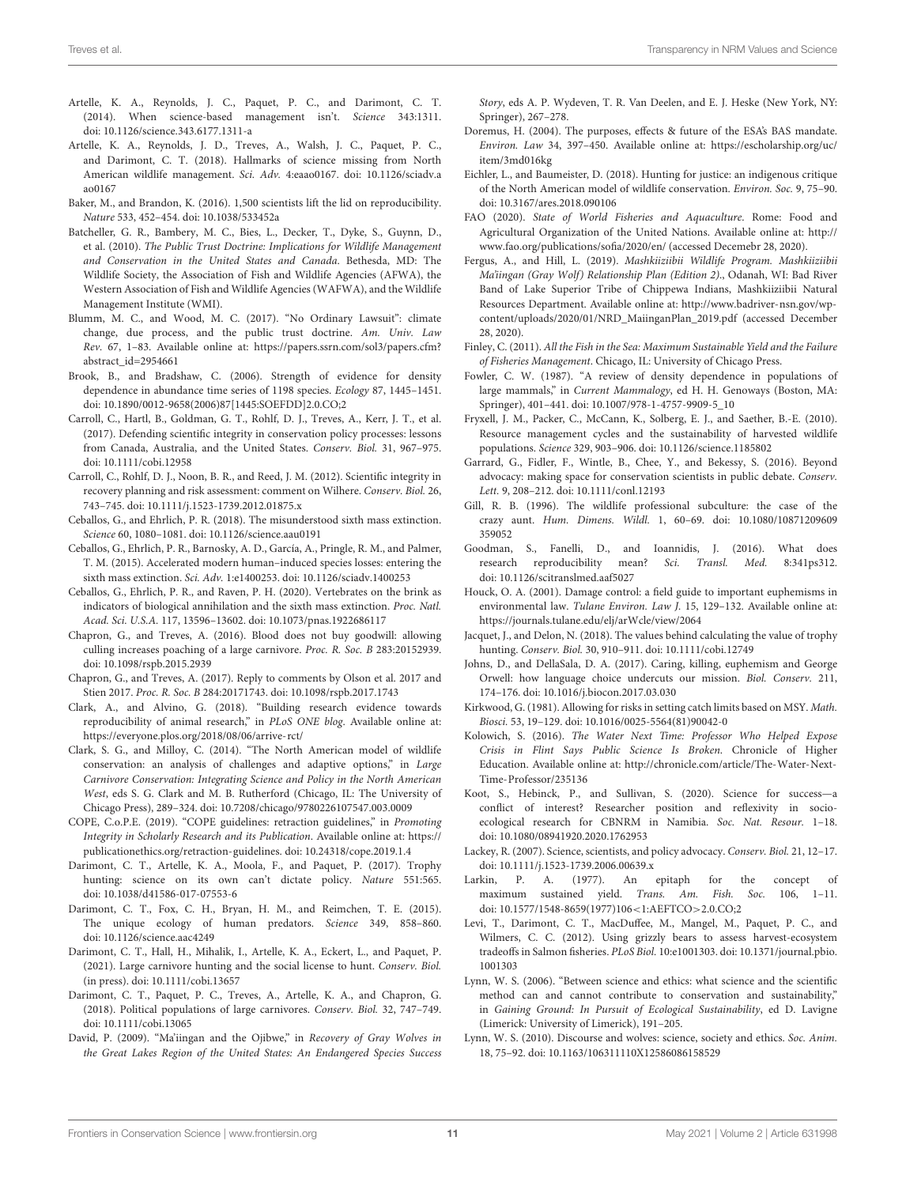- <span id="page-10-6"></span>Artelle, K. A., Reynolds, J. C., Paquet, P. C., and Darimont, C. T. (2014). When science-based management isn't. Science 343:1311. doi: [10.1126/science.343.6177.1311-a](https://doi.org/10.1126/science.343.6177.1311-a)
- <span id="page-10-9"></span>Artelle, K. A., Reynolds, J. D., Treves, A., Walsh, J. C., Paquet, P. C., and Darimont, C. T. (2018). Hallmarks of science missing from North American wildlife management. Sci. Adv. [4:eaao0167. doi: 10.1126/sciadv.a](https://doi.org/10.1126/sciadv.aao0167) ao0167
- <span id="page-10-31"></span>Baker, M., and Brandon, K. (2016). 1,500 scientists lift the lid on reproducibility. Nature 533, 452–454. doi: [10.1038/533452a](https://doi.org/10.1038/533452a)
- <span id="page-10-36"></span>Batcheller, G. R., Bambery, M. C., Bies, L., Decker, T., Dyke, S., Guynn, D., et al. (2010). The Public Trust Doctrine: Implications for Wildlife Management and Conservation in the United States and Canada. Bethesda, MD: The Wildlife Society, the Association of Fish and Wildlife Agencies (AFWA), the Western Association of Fish and Wildlife Agencies (WAFWA), and the Wildlife Management Institute (WMI).
- <span id="page-10-35"></span>Blumm, M. C., and Wood, M. C. (2017). "No Ordinary Lawsuit": climate change, due process, and the public trust doctrine. Am. Univ. Law Rev. 67, 1–83. Available online at: [https://papers.ssrn.com/sol3/papers.cfm?](https://papers.ssrn.com/sol3/papers.cfm?abstract_id=2954661) [abstract\\_id=2954661](https://papers.ssrn.com/sol3/papers.cfm?abstract_id=2954661)
- <span id="page-10-22"></span>Brook, B., and Bradshaw, C. (2006). Strength of evidence for density dependence in abundance time series of 1198 species. Ecology 87, 1445–1451. doi: [10.1890/0012-9658\(2006\)87\[1445:SOEFDD\]2.0.CO;2](https://doi.org/10.1890/0012-9658(2006)87[1445:SOEFDD]2.0.CO;2)
- <span id="page-10-39"></span>Carroll, C., Hartl, B., Goldman, G. T., Rohlf, D. J., Treves, A., Kerr, J. T., et al. (2017). Defending scientific integrity in conservation policy processes: lessons from Canada, Australia, and the United States. Conserv. Biol. 31, 967–975. doi: [10.1111/cobi.12958](https://doi.org/10.1111/cobi.12958)
- <span id="page-10-17"></span>Carroll, C., Rohlf, D. J., Noon, B. R., and Reed, J. M. (2012). Scientific integrity in recovery planning and risk assessment: comment on Wilhere. Conserv. Biol. 26, 743–745. doi: [10.1111/j.1523-1739.2012.01875.x](https://doi.org/10.1111/j.1523-1739.2012.01875.x)
- <span id="page-10-3"></span>Ceballos, G., and Ehrlich, P. R. (2018). The misunderstood sixth mass extinction. Science 60, 1080–1081. doi: [10.1126/science.aau0191](https://doi.org/10.1126/science.aau0191)
- <span id="page-10-0"></span>Ceballos, G., Ehrlich, P. R., Barnosky, A. D., García, A., Pringle, R. M., and Palmer, T. M. (2015). Accelerated modern human–induced species losses: entering the sixth mass extinction. Sci. Adv. 1:e1400253. doi: [10.1126/sciadv.1400253](https://doi.org/10.1126/sciadv.1400253)
- <span id="page-10-1"></span>Ceballos, G., Ehrlich, P. R., and Raven, P. H. (2020). Vertebrates on the brink as indicators of biological annihilation and the sixth mass extinction. Proc. Natl. Acad. Sci. U.S.A. 117, 13596–13602. doi: [10.1073/pnas.1922686117](https://doi.org/10.1073/pnas.1922686117)
- <span id="page-10-28"></span>Chapron, G., and Treves, A. (2016). Blood does not buy goodwill: allowing culling increases poaching of a large carnivore. Proc. R. Soc. B 283:20152939. doi: [10.1098/rspb.2015.2939](https://doi.org/10.1098/rspb.2015.2939)
- <span id="page-10-27"></span>Chapron, G., and Treves, A. (2017). Reply to comments by Olson et al. 2017 and Stien 2017. Proc. R. Soc. B 284:20171743. doi: [10.1098/rspb.2017.1743](https://doi.org/10.1098/rspb.2017.1743)
- <span id="page-10-33"></span>Clark, A., and Alvino, G. (2018). "Building research evidence towards reproducibility of animal research," in PLoS ONE blog. Available online at: <https://everyone.plos.org/2018/08/06/arrive-rct/>
- <span id="page-10-38"></span>Clark, S. G., and Milloy, C. (2014). "The North American model of wildlife conservation: an analysis of challenges and adaptive options," in Large Carnivore Conservation: Integrating Science and Policy in the North American West, eds S. G. Clark and M. B. Rutherford (Chicago, IL: The University of Chicago Press), 289–324. doi: [10.7208/chicago/9780226107547.003.0009](https://doi.org/10.7208/chicago/9780226107547.003.0009)
- <span id="page-10-19"></span>COPE, C.o.P.E. (2019). "COPE guidelines: retraction guidelines," in Promoting Integrity in Scholarly Research and its Publication. Available online at: [https://](https://publicationethics.org/retraction-guidelines) [publicationethics.org/retraction-guidelines.](https://publicationethics.org/retraction-guidelines) doi: [10.24318/cope.2019.1.4](https://doi.org/10.24318/cope.2019.1.4)
- <span id="page-10-7"></span>Darimont, C. T., Artelle, K. A., Moola, F., and Paquet, P. (2017). Trophy hunting: science on its own can't dictate policy. Nature 551:565. doi: [10.1038/d41586-017-07553-6](https://doi.org/10.1038/d41586-017-07553-6)
- <span id="page-10-2"></span>Darimont, C. T., Fox, C. H., Bryan, H. M., and Reimchen, T. E. (2015). The unique ecology of human predators. Science 349, 858–860. doi: [10.1126/science.aac4249](https://doi.org/10.1126/science.aac4249)
- <span id="page-10-34"></span>Darimont, C. T., Hall, H., Mihalik, I., Artelle, K. A., Eckert, L., and Paquet, P. (2021). Large carnivore hunting and the social license to hunt. Conserv. Biol. (in press). doi: [10.1111/cobi.13657](https://doi.org/10.1111/cobi.13657)
- <span id="page-10-8"></span>Darimont, C. T., Paquet, P. C., Treves, A., Artelle, K. A., and Chapron, G. (2018). Political populations of large carnivores. Conserv. Biol. 32, 747–749. doi: [10.1111/cobi.13065](https://doi.org/10.1111/cobi.13065)
- <span id="page-10-24"></span>David, P. (2009). "Ma'iingan and the Ojibwe," in Recovery of Gray Wolves in the Great Lakes Region of the United States: An Endangered Species Success

Story, eds A. P. Wydeven, T. R. Van Deelen, and E. J. Heske (New York, NY: Springer), 267–278.

- <span id="page-10-18"></span>Doremus, H. (2004). The purposes, effects & future of the ESA's BAS mandate. Environ. Law 34, 397–450. Available online at: [https://escholarship.org/uc/](https://escholarship.org/uc/item/3md016kg) [item/3md016kg](https://escholarship.org/uc/item/3md016kg)
- <span id="page-10-25"></span>Eichler, L., and Baumeister, D. (2018). Hunting for justice: an indigenous critique of the North American model of wildlife conservation. Environ. Soc. 9, 75–90. doi: [10.3167/ares.2018.090106](https://doi.org/10.3167/ares.2018.090106)
- <span id="page-10-4"></span>FAO (2020). State of World Fisheries and Aquaculture. Rome: Food and Agricultural Organization of the United Nations. Available online at: [http://](http://www.fao.org/publications/sofia/2020/en/) [www.fao.org/publications/sofia/2020/en/](http://www.fao.org/publications/sofia/2020/en/) (accessed Decemebr 28, 2020).
- <span id="page-10-29"></span>Fergus, A., and Hill, L. (2019). Mashkiiziibii Wildlife Program. Mashkiiziibii Ma'iingan (Gray Wolf) Relationship Plan (Edition 2)., Odanah, WI: Bad River Band of Lake Superior Tribe of Chippewa Indians, Mashkiiziibii Natural Resources Department. Available online at: [http://www.badriver-nsn.gov/wp](http://www.badriver-nsn.gov/wp-content/uploads/2020/01/NRD_MaiinganPlan_2019.pdf)[content/uploads/2020/01/NRD\\_MaiinganPlan\\_2019.pdf](http://www.badriver-nsn.gov/wp-content/uploads/2020/01/NRD_MaiinganPlan_2019.pdf) (accessed December 28, 2020).
- <span id="page-10-40"></span>Finley, C. (2011). All the Fish in the Sea: Maximum Sustainable Yield and the Failure of Fisheries Management. Chicago, IL: University of Chicago Press.
- <span id="page-10-26"></span>Fowler, C. W. (1987). "A review of density dependence in populations of large mammals," in Current Mammalogy, ed H. H. Genoways (Boston, MA: Springer), 401–441. doi: [10.1007/978-1-4757-9909-5\\_10](https://doi.org/10.1007/978-1-4757-9909-5_10)
- <span id="page-10-23"></span>Fryxell, J. M., Packer, C., McCann, K., Solberg, E. J., and Saether, B.-E. (2010). Resource management cycles and the sustainability of harvested wildlife populations. Science 329, 903–906. doi: [10.1126/science.1185802](https://doi.org/10.1126/science.1185802)
- <span id="page-10-21"></span>Garrard, G., Fidler, F., Wintle, B., Chee, Y., and Bekessy, S. (2016). Beyond advocacy: making space for conservation scientists in public debate. Conserv. Lett. 9, 208–212. doi: [10.1111/conl.12193](https://doi.org/10.1111/conl.12193)
- <span id="page-10-37"></span>Gill, R. B. (1996). The wildlife professional subculture: the case of the crazy aunt. Hum. Dimens. Wildl. [1, 60–69. doi: 10.1080/10871209609](https://doi.org/10.1080/10871209609359052) 359052
- <span id="page-10-32"></span>Goodman, S., Fanelli, D., and Ioannidis, J. (2016). What does research reproducibility mean? Sci. Transl. Med. 8:341ps312. doi: [10.1126/scitranslmed.aaf5027](https://doi.org/10.1126/scitranslmed.aaf5027)
- <span id="page-10-14"></span>Houck, O. A. (2001). Damage control: a field guide to important euphemisms in environmental law. Tulane Environ. Law J. 15, 129–132. Available online at: <https://journals.tulane.edu/elj/arWcle/view/2064>
- <span id="page-10-10"></span>Jacquet, J., and Delon, N. (2018). The values behind calculating the value of trophy hunting. Conserv. Biol. 30, 910–911. doi: [10.1111/cobi.12749](https://doi.org/10.1111/cobi.12749)
- <span id="page-10-15"></span>Johns, D., and DellaSala, D. A. (2017). Caring, killing, euphemism and George Orwell: how language choice undercuts our mission. Biol. Conserv. 211, 174–176. doi: [10.1016/j.biocon.2017.03.030](https://doi.org/10.1016/j.biocon.2017.03.030)
- <span id="page-10-16"></span>Kirkwood, G. (1981). Allowing for risks in setting catch limits based on MSY. Math. Biosci. 53, 19–129. doi: [10.1016/0025-5564\(81\)90042-0](https://doi.org/10.1016/0025-5564(81)90042-0)
- <span id="page-10-41"></span>Kolowich, S. (2016). The Water Next Time: Professor Who Helped Expose Crisis in Flint Says Public Science Is Broken. Chronicle of Higher Education. Available online at: [http://chronicle.com/article/The-Water-Next-](http://chronicle.com/article/The-Water-Next-Time-Professor/235136)[Time-Professor/235136](http://chronicle.com/article/The-Water-Next-Time-Professor/235136)
- <span id="page-10-30"></span>Koot, S., Hebinck, P., and Sullivan, S. (2020). Science for success—a conflict of interest? Researcher position and reflexivity in socioecological research for CBNRM in Namibia. Soc. Nat. Resour. 1–18. doi: [10.1080/08941920.2020.1762953](https://doi.org/10.1080/08941920.2020.1762953)
- <span id="page-10-20"></span>Lackey, R. (2007). Science, scientists, and policy advocacy. Conserv. Biol. 21, 12–17. doi: [10.1111/j.1523-1739.2006.00639.x](https://doi.org/10.1111/j.1523-1739.2006.00639.x)
- <span id="page-10-5"></span>Larkin, P. A. (1977). An epitaph for the concept of maximum sustained yield. Trans. Am. Fish. Soc. 106, 1–11. doi: [10.1577/1548-8659\(1977\)106](https://doi.org/10.1577/1548-8659(1977)106<1:AEFTCO>2.0.CO;2)<1:AEFTCO>2.0.CO;2
- <span id="page-10-13"></span>Levi, T., Darimont, C. T., MacDuffee, M., Mangel, M., Paquet, P. C., and Wilmers, C. C. (2012). Using grizzly bears to assess harvest-ecosystem tradeoffs in Salmon fisheries. PLoS Biol. [10:e1001303. doi: 10.1371/journal.pbio.](https://doi.org/10.1371/journal.pbio.1001303) 1001303
- <span id="page-10-11"></span>Lynn, W. S. (2006). "Between science and ethics: what science and the scientific method can and cannot contribute to conservation and sustainability," in Gaining Ground: In Pursuit of Ecological Sustainability, ed D. Lavigne (Limerick: University of Limerick), 191–205.
- <span id="page-10-12"></span>Lynn, W. S. (2010). Discourse and wolves: science, society and ethics. Soc. Anim. 18, 75–92. doi: [10.1163/106311110X12586086158529](https://doi.org/10.1163/106311110X12586086158529)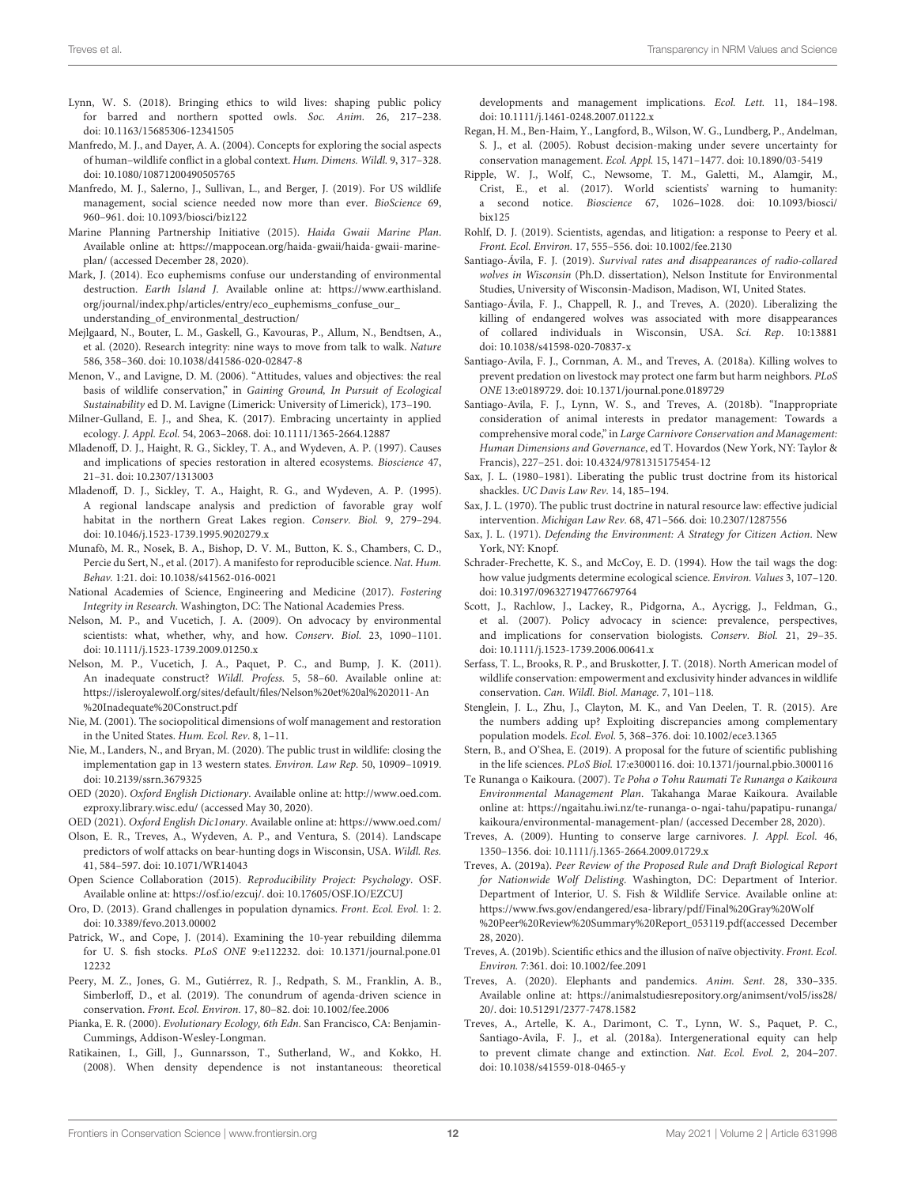- <span id="page-11-15"></span>Lynn, W. S. (2018). Bringing ethics to wild lives: shaping public policy for barred and northern spotted owls. Soc. Anim. 26, 217–238. doi: [10.1163/15685306-12341505](https://doi.org/10.1163/15685306-12341505)
- <span id="page-11-2"></span>Manfredo, M. J., and Dayer, A. A. (2004). Concepts for exploring the social aspects of human–wildlife conflict in a global context. Hum. Dimens. Wildl. 9, 317–328. doi: [10.1080/10871200490505765](https://doi.org/10.1080/10871200490505765)
- <span id="page-11-35"></span>Manfredo, M. J., Salerno, J., Sullivan, L., and Berger, J. (2019). For US wildlife management, social science needed now more than ever. BioScience 69, 960–961. doi: [10.1093/biosci/biz122](https://doi.org/10.1093/biosci/biz122)
- <span id="page-11-43"></span>Marine Planning Partnership Initiative (2015). Haida Gwaii Marine Plan. Available online at: [https://mappocean.org/haida-gwaii/haida-gwaii-marine](https://mappocean.org/haida-gwaii/haida-gwaii-marine-plan/)[plan/](https://mappocean.org/haida-gwaii/haida-gwaii-marine-plan/) (accessed December 28, 2020).
- <span id="page-11-9"></span>Mark, J. (2014). Eco euphemisms confuse our understanding of environmental destruction. Earth Island J. Available online at: [https://www.earthisland.](https://www.earthisland.org/journal/index.php/articles/entry/eco_euphemisms_confuse_our_understanding_of_environmental_destruction/) [org/journal/index.php/articles/entry/eco\\_euphemisms\\_confuse\\_our\\_](https://www.earthisland.org/journal/index.php/articles/entry/eco_euphemisms_confuse_our_understanding_of_environmental_destruction/) [understanding\\_of\\_environmental\\_destruction/](https://www.earthisland.org/journal/index.php/articles/entry/eco_euphemisms_confuse_our_understanding_of_environmental_destruction/)
- <span id="page-11-8"></span>Mejlgaard, N., Bouter, L. M., Gaskell, G., Kavouras, P., Allum, N., Bendtsen, A., et al. (2020). Research integrity: nine ways to move from talk to walk. Nature 586, 358–360. doi: [10.1038/d41586-020-02847-8](https://doi.org/10.1038/d41586-020-02847-8)
- <span id="page-11-4"></span>Menon, V., and Lavigne, D. M. (2006). "Attitudes, values and objectives: the real basis of wildlife conservation," in Gaining Ground, In Pursuit of Ecological Sustainability ed D. M. Lavigne (Limerick: University of Limerick), 173–190.
- <span id="page-11-37"></span>Milner-Gulland, E. J., and Shea, K. (2017). Embracing uncertainty in applied ecology. J. Appl. Ecol. 54, 2063–2068. doi: [10.1111/1365-2664.12887](https://doi.org/10.1111/1365-2664.12887)
- <span id="page-11-27"></span>Mladenoff, D. J., Haight, R. G., Sickley, T. A., and Wydeven, A. P. (1997). Causes and implications of species restoration in altered ecosystems. Bioscience 47, 21–31. doi: [10.2307/1313003](https://doi.org/10.2307/1313003)
- <span id="page-11-26"></span>Mladenoff, D. J., Sickley, T. A., Haight, R. G., and Wydeven, A. P. (1995). A regional landscape analysis and prediction of favorable gray wolf habitat in the northern Great Lakes region. Conserv. Biol. 9, 279–294. doi: [10.1046/j.1523-1739.1995.9020279.x](https://doi.org/10.1046/j.1523-1739.1995.9020279.x)
- <span id="page-11-34"></span>Munafò, M. R., Nosek, B. A., Bishop, D. V. M., Button, K. S., Chambers, C. D., Percie du Sert, N., et al. (2017). A manifesto for reproducible science. Nat. Hum. Behav. 1:21. doi: [10.1038/s41562-016-0021](https://doi.org/10.1038/s41562-016-0021)
- <span id="page-11-7"></span>National Academies of Science, Engineering and Medicine (2017). Fostering Integrity in Research. Washington, DC: The National Academies Press.
- <span id="page-11-5"></span>Nelson, M. P., and Vucetich, J. A. (2009). On advocacy by environmental scientists: what, whether, why, and how. Conserv. Biol. 23, 1090–1101. doi: [10.1111/j.1523-1739.2009.01250.x](https://doi.org/10.1111/j.1523-1739.2009.01250.x)
- <span id="page-11-6"></span>Nelson, M. P., Vucetich, J. A., Paquet, P. C., and Bump, J. K. (2011). An inadequate construct? Wildl. Profess. 5, 58-60. Available online at: [https://isleroyalewolf.org/sites/default/files/Nelson%20et%20al%202011-An](https://isleroyalewolf.org/sites/default/files/Nelson%20et%20al%202011-An%20Inadequate%20Construct.pdf) [%20Inadequate%20Construct.pdf](https://isleroyalewolf.org/sites/default/files/Nelson%20et%20al%202011-An%20Inadequate%20Construct.pdf)
- <span id="page-11-30"></span>Nie, M. (2001). The sociopolitical dimensions of wolf management and restoration in the United States. Hum. Ecol. Rev. 8, 1–11.
- <span id="page-11-41"></span>Nie, M., Landers, N., and Bryan, M. (2020). The public trust in wildlife: closing the implementation gap in 13 western states. Environ. Law Rep. 50, 10909–10919. doi: [10.2139/ssrn.3679325](https://doi.org/10.2139/ssrn.3679325)
- <span id="page-11-10"></span>OED (2020). Oxford English Dictionary. Available online at: [http://www.oed.com.](http://www.oed.com.ezproxy.library.wisc.edu/) [ezproxy.library.wisc.edu/](http://www.oed.com.ezproxy.library.wisc.edu/) (accessed May 30, 2020).

<span id="page-11-11"></span>OED (2021). Oxford English Dic1onary. Available online at:<https://www.oed.com/>

- <span id="page-11-25"></span>Olson, E. R., Treves, A., Wydeven, A. P., and Ventura, S. (2014). Landscape predictors of wolf attacks on bear-hunting dogs in Wisconsin, USA. Wildl. Res. 41, 584–597. doi: [10.1071/WR14043](https://doi.org/10.1071/WR14043)
- <span id="page-11-33"></span>Open Science Collaboration (2015). Reproducibility Project: Psychology. OSF. Available online at: [https://osf.io/ezcuj/.](https://osf.io/ezcuj/) doi: [10.17605/OSF.IO/EZCUJ](https://doi.org/10.17605/OSF.IO/EZCUJ)
- <span id="page-11-1"></span>Oro, D. (2013). Grand challenges in population dynamics. Front. Ecol. Evol. 1: 2. doi: [10.3389/fevo.2013.00002](https://doi.org/10.3389/fevo.2013.00002)
- <span id="page-11-12"></span>Patrick, W., and Cope, J. (2014). Examining the 10-year rebuilding dilemma for U. S. fish stocks. PLoS ONE [9:e112232. doi: 10.1371/journal.pone.01](https://doi.org/10.1371/journal.pone.0112232) 12232
- <span id="page-11-13"></span>Peery, M. Z., Jones, G. M., Gutiérrez, R. J., Redpath, S. M., Franklin, A. B., Simberloff, D., et al. (2019). The conundrum of agenda-driven science in conservation. Front. Ecol. Environ. 17, 80–82. doi: [10.1002/fee.2006](https://doi.org/10.1002/fee.2006)
- <span id="page-11-17"></span>Pianka, E. R. (2000). Evolutionary Ecology, 6th Edn. San Francisco, CA: Benjamin-Cummings, Addison-Wesley-Longman.
- <span id="page-11-18"></span>Ratikainen, I., Gill, J., Gunnarsson, T., Sutherland, W., and Kokko, H. (2008). When density dependence is not instantaneous: theoretical

developments and management implications. Ecol. Lett. 11, 184–198. doi: [10.1111/j.1461-0248.2007.01122.x](https://doi.org/10.1111/j.1461-0248.2007.01122.x)

- <span id="page-11-36"></span>Regan, H. M., Ben-Haim, Y., Langford, B., Wilson, W. G., Lundberg, P., Andelman, S. J., et al. (2005). Robust decision-making under severe uncertainty for conservation management. Ecol. Appl. 15, 1471–1477. doi: [10.1890/03-5419](https://doi.org/10.1890/03-5419)
- <span id="page-11-0"></span>Ripple, W. J., Wolf, C., Newsome, T. M., Galetti, M., Alamgir, M., Crist, E., et al. (2017). World scientists' warning to humanity: a second notice. Bioscience [67, 1026–1028. doi: 10.1093/biosci/](https://doi.org/10.1093/biosci/bix125) bix125
- <span id="page-11-14"></span>Rohlf, D. J. (2019). Scientists, agendas, and litigation: a response to Peery et al. Front. Ecol. Environ. 17, 555–556. doi: [10.1002/fee.2130](https://doi.org/10.1002/fee.2130)
- <span id="page-11-29"></span>Santiago-Ávila, F. J. (2019). Survival rates and disappearances of radio-collared wolves in Wisconsin (Ph.D. dissertation), Nelson Institute for Environmental Studies, University of Wisconsin-Madison, Madison, WI, United States.
- <span id="page-11-22"></span>Santiago-Ávila, F. J., Chappell, R. J., and Treves, A. (2020). Liberalizing the killing of endangered wolves was associated with more disappearances of collared individuals in Wisconsin, USA. Sci. Rep. 10:13881 doi: [10.1038/s41598-020-70837-x](https://doi.org/10.1038/s41598-020-70837-x)
- <span id="page-11-32"></span>Santiago-Avila, F. J., Cornman, A. M., and Treves, A. (2018a). Killing wolves to prevent predation on livestock may protect one farm but harm neighbors. PLoS ONE 13:e0189729. doi: [10.1371/journal.pone.0189729](https://doi.org/10.1371/journal.pone.0189729)
- <span id="page-11-21"></span>Santiago-Avila, F. J., Lynn, W. S., and Treves, A. (2018b). "Inappropriate consideration of animal interests in predator management: Towards a comprehensive moral code," in Large Carnivore Conservation and Management: Human Dimensions and Governance, ed T. Hovardos (New York, NY: Taylor & Francis), 227–251. doi: [10.4324/9781315175454-12](https://doi.org/10.4324/9781315175454-12)
- <span id="page-11-40"></span>Sax, J. L. (1980–1981). Liberating the public trust doctrine from its historical shackles. UC Davis Law Rev. 14, 185–194.
- <span id="page-11-38"></span>Sax, J. L. (1970). The public trust doctrine in natural resource law: effective judicial intervention. Michigan Law Rev. 68, 471–566. doi: [10.2307/1287556](https://doi.org/10.2307/1287556)
- <span id="page-11-39"></span>Sax, J. L. (1971). Defending the Environment: A Strategy for Citizen Action. New York, NY: Knopf.
- <span id="page-11-3"></span>Schrader-Frechette, K. S., and McCoy, E. D. (1994). How the tail wags the dog: how value judgments determine ecological science. Environ. Values 3, 107–120. doi: [10.3197/096327194776679764](https://doi.org/10.3197/096327194776679764)
- <span id="page-11-31"></span>Scott, J., Rachlow, J., Lackey, R., Pidgorna, A., Aycrigg, J., Feldman, G., et al. (2007). Policy advocacy in science: prevalence, perspectives, and implications for conservation biologists. Conserv. Biol. 21, 29–35. doi: [10.1111/j.1523-1739.2006.00641.x](https://doi.org/10.1111/j.1523-1739.2006.00641.x)
- <span id="page-11-44"></span>Serfass, T. L., Brooks, R. P., and Bruskotter, J. T. (2018). North American model of wildlife conservation: empowerment and exclusivity hinder advances in wildlife conservation. Can. Wildl. Biol. Manage. 7, 101–118.
- <span id="page-11-28"></span>Stenglein, J. L., Zhu, J., Clayton, M. K., and Van Deelen, T. R. (2015). Are the numbers adding up? Exploiting discrepancies among complementary population models. Ecol. Evol. 5, 368–376. doi: [10.1002/ece3.1365](https://doi.org/10.1002/ece3.1365)
- <span id="page-11-16"></span>Stern, B., and O'Shea, E. (2019). A proposal for the future of scientific publishing in the life sciences. PLoS Biol. 17:e3000116. doi: [10.1371/journal.pbio.3000116](https://doi.org/10.1371/journal.pbio.3000116)
- <span id="page-11-42"></span>Te Runanga o Kaikoura. (2007). Te Poha o Tohu Raumati Te Runanga o Kaikoura Environmental Management Plan. Takahanga Marae Kaikoura. Available online at: [https://ngaitahu.iwi.nz/te-runanga-o-ngai-tahu/papatipu-runanga/](https://ngaitahu.iwi.nz/te-runanga-o-ngai-tahu/papatipu-runanga/kaikoura/environmental-management-plan/) [kaikoura/environmental-management-plan/](https://ngaitahu.iwi.nz/te-runanga-o-ngai-tahu/papatipu-runanga/kaikoura/environmental-management-plan/) (accessed December 28, 2020).
- <span id="page-11-24"></span>Treves, A. (2009). Hunting to conserve large carnivores. J. Appl. Ecol. 46, 1350–1356. doi: [10.1111/j.1365-2664.2009.01729.x](https://doi.org/10.1111/j.1365-2664.2009.01729.x)
- <span id="page-11-20"></span>Treves, A. (2019a). Peer Review of the Proposed Rule and Draft Biological Report for Nationwide Wolf Delisting. Washington, DC: Department of Interior. Department of Interior, U. S. Fish & Wildlife Service. Available online at: [https://www.fws.gov/endangered/esa-library/pdf/Final%20Gray%20Wolf](https://www.fws.gov/endangered/esa- library/pdf/Final%20Gray%20Wolf %20Peer%20Review%20Summary%20Report_053119.pdf) [%20Peer%20Review%20Summary%20Report\\_053119.pdf\(](https://www.fws.gov/endangered/esa- library/pdf/Final%20Gray%20Wolf %20Peer%20Review%20Summary%20Report_053119.pdf)accessed December 28, 2020).
- Treves, A. (2019b). Scientific ethics and the illusion of naïve objectivity. Front. Ecol. Environ. 7:361. doi: [10.1002/fee.2091](https://doi.org/10.1002/fee.2091)
- <span id="page-11-23"></span>Treves, A. (2020). Elephants and pandemics. Anim. Sent. 28, 330–335. Available online at: [https://animalstudiesrepository.org/animsent/vol5/iss28/](https://animalstudiesrepository.org/animsent/vol5/iss28/20/) [20/.](https://animalstudiesrepository.org/animsent/vol5/iss28/20/) doi: [10.51291/2377-7478.1582](https://doi.org/10.51291/2377-7478.1582)
- <span id="page-11-19"></span>Treves, A., Artelle, K. A., Darimont, C. T., Lynn, W. S., Paquet, P. C., Santiago-Avila, F. J., et al. (2018a). Intergenerational equity can help to prevent climate change and extinction. Nat. Ecol. Evol. 2, 204–207. doi: [10.1038/s41559-018-0465-y](https://doi.org/10.1038/s41559-018-0465-y)